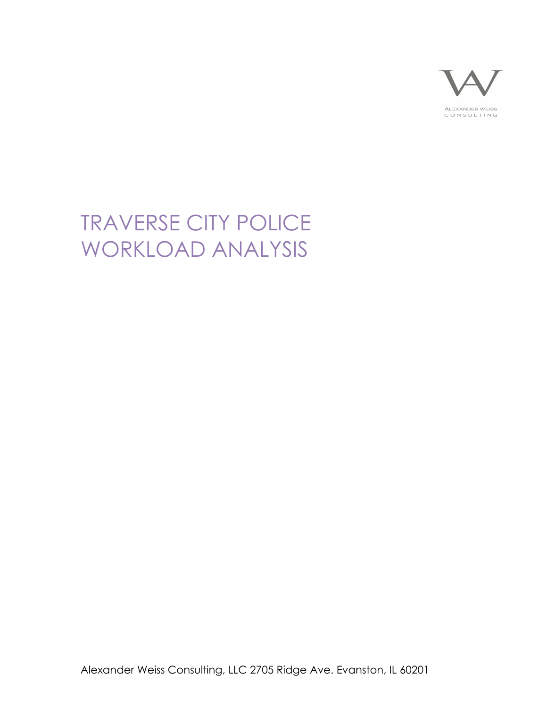

# TRAVERSE CITY POLICE WORKLOAD ANALYSIS

Alexander Weiss Consulting, LLC 2705 Ridge Ave. Evanston, IL 60201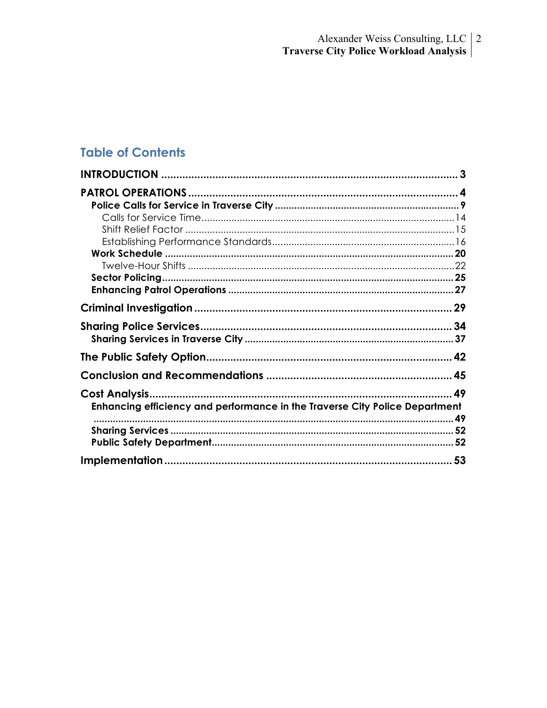# **Table of Contents**

| Enhancing efficiency and performance in the Traverse City Police Department |  |
|-----------------------------------------------------------------------------|--|
|                                                                             |  |
|                                                                             |  |
|                                                                             |  |
|                                                                             |  |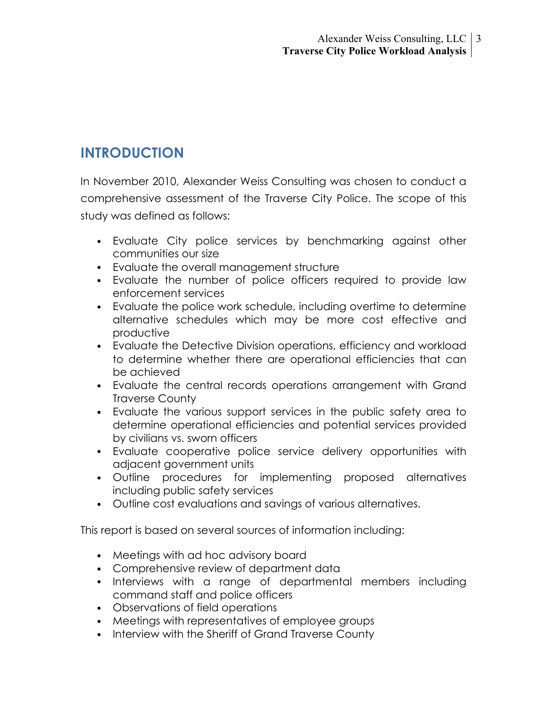# **INTRODUCTION**

In November 2010, Alexander Weiss Consulting was chosen to conduct a comprehensive assessment of the Traverse City Police. The scope of this study was defined as follows:

- Evaluate City police services by benchmarking against other communities our size
- Evaluate the overall management structure
- Evaluate the number of police officers required to provide law enforcement services
- Evaluate the police work schedule, including overtime to determine alternative schedules which may be more cost effective and productive
- Evaluate the Detective Division operations, efficiency and workload to determine whether there are operational efficiencies that can be achieved
- Evaluate the central records operations arrangement with Grand Traverse County
- Evaluate the various support services in the public safety area to determine operational efficiencies and potential services provided by civilians vs. sworn officers
- Evaluate cooperative police service delivery opportunities with adjacent government units
- Outline procedures for implementing proposed alternatives including public safety services
- Outline cost evaluations and savings of various alternatives.

This report is based on several sources of information including:

- Meetings with ad hoc advisory board
- Comprehensive review of department data
- Interviews with a range of departmental members including command staff and police officers
- Observations of field operations
- Meetings with representatives of employee groups
- Interview with the Sheriff of Grand Traverse County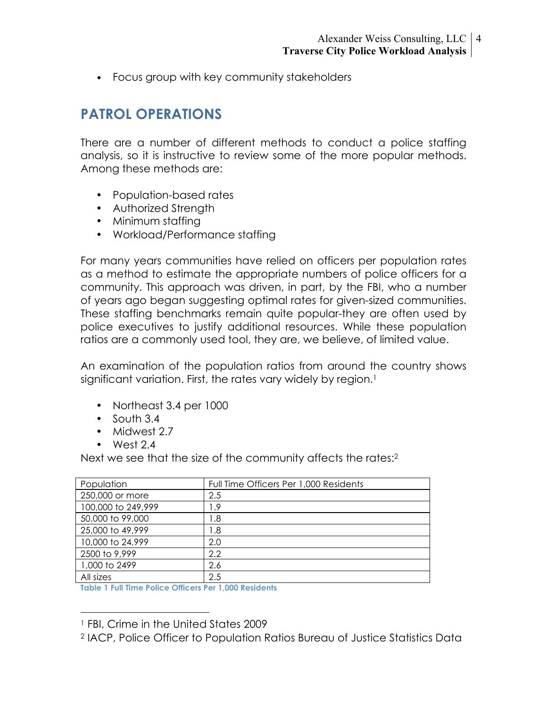• Focus group with key community stakeholders

# **PATROL OPERATIONS**

There are a number of different methods to conduct a police staffing analysis, so it is instructive to review some of the more popular methods. Among these methods are:

- Population-based rates
- Authorized Strength
- Minimum staffing
- Workload/Performance staffing

For many years communities have relied on officers per population rates as a method to estimate the appropriate numbers of police officers for a community. This approach was driven, in part, by the FBI, who a number of years ago began suggesting optimal rates for given-sized communities. These staffing benchmarks remain quite popular-they are often used by police executives to justify additional resources. While these population ratios are a commonly used tool, they are, we believe, of limited value.

An examination of the population ratios from around the country shows significant variation. First, the rates vary widely by region.<sup>1</sup>

- Northeast 3.4 per 1000
- South 3.4
- Midwest 2.7
- West 2.4

Next we see that the size of the community affects the rates:2

| Population         | Full Time Officers Per 1,000 Residents |
|--------------------|----------------------------------------|
| 250,000 or more    | 2.5                                    |
| 100,000 to 249,999 | l.9                                    |
| 50,000 to 99,000   | 8. ا                                   |
| 25,000 to 49,999   | 8. ا                                   |
| 10,000 to 24,999   | 2.0                                    |
| 2500 to 9,999      | 2.2                                    |
| 1,000 to 2499      | 2.6                                    |
| All sizes          | 2.5                                    |

**Table 1 Full Time Police Officers Per 1,000 Residents**

 <sup>1</sup> FBI, Crime in the United States 2009

<sup>2</sup> IACP, Police Officer to Population Ratios Bureau of Justice Statistics Data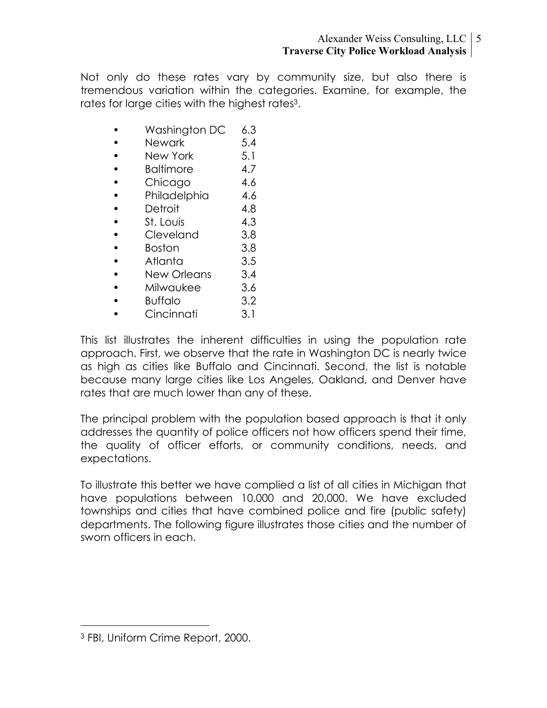Not only do these rates vary by community size, but also there is tremendous variation within the categories. Examine, for example, the rates for large cities with the highest rates3.

- Washington DC 6.3
- Newark 5.4
- New York 5.1
- Baltimore 4.7
- Chicago 4.6
- Philadelphia 4.6
- Detroit 4.8
- St. Louis 4.3
- Cleveland 3.8
- Boston 3.8
- Atlanta 3.5
- New Orleans 3.4
- Milwaukee 3.6
- Buffalo 3.2
- Cincinnati 3.1

This list illustrates the inherent difficulties in using the population rate approach. First, we observe that the rate in Washington DC is nearly twice as high as cities like Buffalo and Cincinnati. Second, the list is notable because many large cities like Los Angeles, Oakland, and Denver have rates that are much lower than any of these.

The principal problem with the population based approach is that it only addresses the quantity of police officers not how officers spend their time, the quality of officer efforts, or community conditions, needs, and expectations.

To illustrate this better we have complied a list of all cities in Michigan that have populations between 10,000 and 20,000. We have excluded townships and cities that have combined police and fire (public safety) departments. The following figure illustrates those cities and the number of sworn officers in each.

 <sup>3</sup> FBI, Uniform Crime Report, 2000.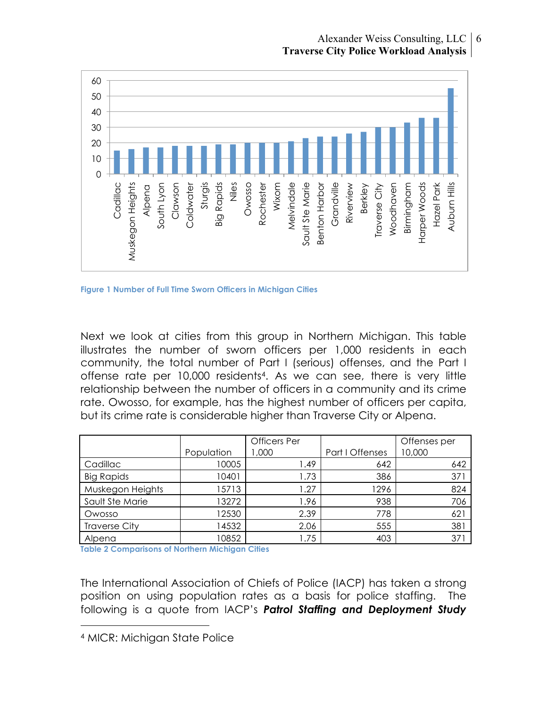

**Figure 1 Number of Full Time Sworn Officers in Michigan Cities**

Next we look at cities from this group in Northern Michigan. This table illustrates the number of sworn officers per 1,000 residents in each community, the total number of Part I (serious) offenses, and the Part I offense rate per 10,000 residents4. As we can see, there is very little relationship between the number of officers in a community and its crime rate. Owosso, for example, has the highest number of officers per capita, but its crime rate is considerable higher than Traverse City or Alpena.

|                      |            | <b>Officers</b> Per |                 | Offenses per |
|----------------------|------------|---------------------|-----------------|--------------|
|                      | Population | 1,000               | Part I Offenses | 10,000       |
| Cadillac             | 10005      | 49. ا               | 642             | 642          |
| <b>Big Rapids</b>    | 10401      | 1.73                | 386             | 371          |
| Muskegon Heights     | 15713      | .27                 | 1296            | 824          |
| Sault Ste Marie      | 13272      | 1.96                | 938             | 706          |
| Owosso               | 12530      | 2.39                | 778             | 621          |
| <b>Traverse City</b> | 14532      | 2.06                | 555             | 381          |
| Alpena               | 10852      | l.75                | 403             | 371          |

**Table 2 Comparisons of Northern Michigan Cities**

The International Association of Chiefs of Police (IACP) has taken a strong position on using population rates as a basis for police staffing. The following is a quote from IACP's *Patrol Staffing and Deployment Study* 

 <sup>4</sup> MICR: Michigan State Police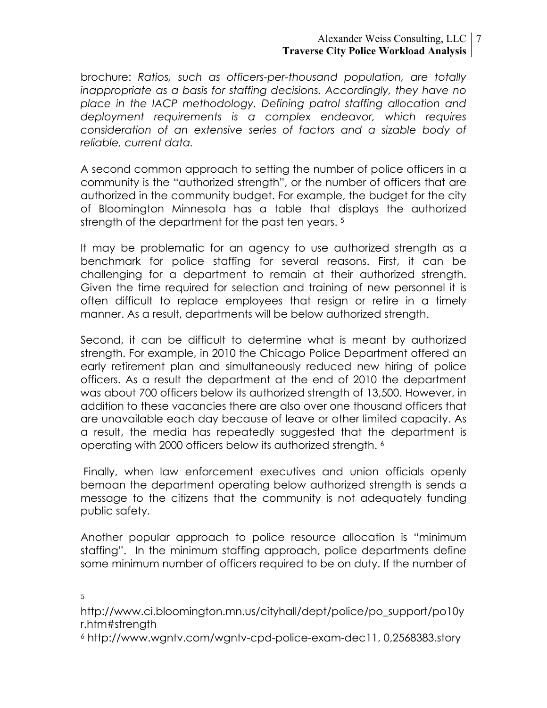#### Alexander Weiss Consulting, LLC 7 **Traverse City Police Workload Analysis**

brochure: *Ratios, such as officers-per-thousand population, are totally inappropriate as a basis for staffing decisions. Accordingly, they have no place in the IACP methodology. Defining patrol staffing allocation and deployment requirements is a complex endeavor, which requires consideration of an extensive series of factors and a sizable body of reliable, current data.*

A second common approach to setting the number of police officers in a community is the "authorized strength", or the number of officers that are authorized in the community budget. For example, the budget for the city of Bloomington Minnesota has a table that displays the authorized strength of the department for the past ten years.<sup>5</sup>

It may be problematic for an agency to use authorized strength as a benchmark for police staffing for several reasons. First, it can be challenging for a department to remain at their authorized strength. Given the time required for selection and training of new personnel it is often difficult to replace employees that resign or retire in a timely manner. As a result, departments will be below authorized strength.

Second, it can be difficult to determine what is meant by authorized strength. For example, in 2010 the Chicago Police Department offered an early retirement plan and simultaneously reduced new hiring of police officers. As a result the department at the end of 2010 the department was about 700 officers below its authorized strength of 13,500. However, in addition to these vacancies there are also over one thousand officers that are unavailable each day because of leave or other limited capacity. As a result, the media has repeatedly suggested that the department is operating with 2000 officers below its authorized strength. 6

 Finally, when law enforcement executives and union officials openly bemoan the department operating below authorized strength is sends a message to the citizens that the community is not adequately funding public safety.

Another popular approach to police resource allocation is "minimum staffing". In the minimum staffing approach, police departments define some minimum number of officers required to be on duty. If the number of

 $\frac{1}{5}$ 5

http://www.ci.bloomington.mn.us/cityhall/dept/police/po\_support/po10y r.htm#strength

<sup>6</sup> http://www.wgntv.com/wgntv-cpd-police-exam-dec11, 0,2568383.story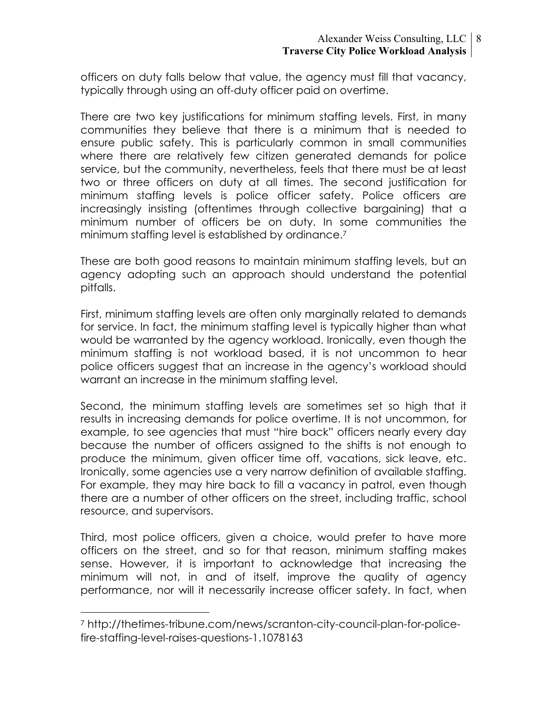officers on duty falls below that value, the agency must fill that vacancy, typically through using an off-duty officer paid on overtime.

There are two key justifications for minimum staffing levels. First, in many communities they believe that there is a minimum that is needed to ensure public safety. This is particularly common in small communities where there are relatively few citizen generated demands for police service, but the community, nevertheless, feels that there must be at least two or three officers on duty at all times. The second justification for minimum staffing levels is police officer safety. Police officers are increasingly insisting (oftentimes through collective bargaining) that a minimum number of officers be on duty. In some communities the minimum staffing level is established by ordinance.7

These are both good reasons to maintain minimum staffing levels, but an agency adopting such an approach should understand the potential pitfalls.

First, minimum staffing levels are often only marginally related to demands for service. In fact, the minimum staffing level is typically higher than what would be warranted by the agency workload. Ironically, even though the minimum staffing is not workload based, it is not uncommon to hear police officers suggest that an increase in the agency's workload should warrant an increase in the minimum staffing level.

Second, the minimum staffing levels are sometimes set so high that it results in increasing demands for police overtime. It is not uncommon, for example, to see agencies that must "hire back" officers nearly every day because the number of officers assigned to the shifts is not enough to produce the minimum, given officer time off, vacations, sick leave, etc. Ironically, some agencies use a very narrow definition of available staffing. For example, they may hire back to fill a vacancy in patrol, even though there are a number of other officers on the street, including traffic, school resource, and supervisors.

Third, most police officers, given a choice, would prefer to have more officers on the street, and so for that reason, minimum staffing makes sense. However, it is important to acknowledge that increasing the minimum will not, in and of itself, improve the quality of agency performance, nor will it necessarily increase officer safety. In fact, when

 <sup>7</sup> http://thetimes-tribune.com/news/scranton-city-council-plan-for-policefire-staffing-level-raises-questions-1.1078163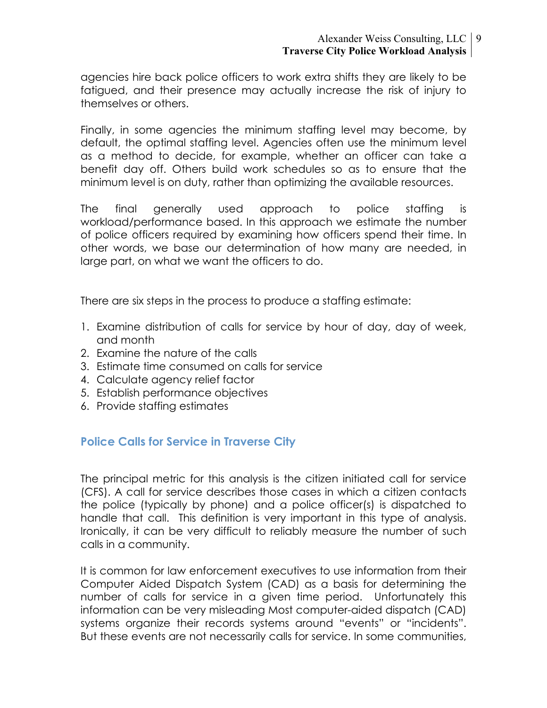#### Alexander Weiss Consulting, LLC 9 **Traverse City Police Workload Analysis**

agencies hire back police officers to work extra shifts they are likely to be fatigued, and their presence may actually increase the risk of injury to themselves or others.

Finally, in some agencies the minimum staffing level may become, by default, the optimal staffing level. Agencies often use the minimum level as a method to decide, for example, whether an officer can take a benefit day off. Others build work schedules so as to ensure that the minimum level is on duty, rather than optimizing the available resources.

The final generally used approach to police staffing is workload/performance based. In this approach we estimate the number of police officers required by examining how officers spend their time. In other words, we base our determination of how many are needed, in large part, on what we want the officers to do.

There are six steps in the process to produce a staffing estimate:

- 1. Examine distribution of calls for service by hour of day, day of week, and month
- 2. Examine the nature of the calls
- 3. Estimate time consumed on calls for service
- 4. Calculate agency relief factor
- 5. Establish performance objectives
- 6. Provide staffing estimates

## **Police Calls for Service in Traverse City**

The principal metric for this analysis is the citizen initiated call for service (CFS). A call for service describes those cases in which a citizen contacts the police (typically by phone) and a police officer(s) is dispatched to handle that call. This definition is very important in this type of analysis. Ironically, it can be very difficult to reliably measure the number of such calls in a community.

It is common for law enforcement executives to use information from their Computer Aided Dispatch System (CAD) as a basis for determining the number of calls for service in a given time period. Unfortunately this information can be very misleading Most computer-aided dispatch (CAD) systems organize their records systems around "events" or "incidents". But these events are not necessarily calls for service. In some communities,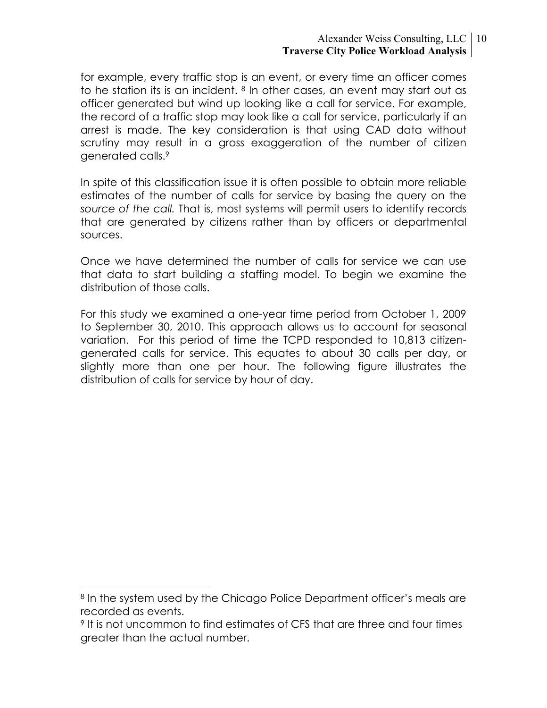#### Alexander Weiss Consulting, LLC 10 **Traverse City Police Workload Analysis**

for example, every traffic stop is an event, or every time an officer comes to he station its is an incident. <sup>8</sup> In other cases, an event may start out as officer generated but wind up looking like a call for service. For example, the record of a traffic stop may look like a call for service, particularly if an arrest is made. The key consideration is that using CAD data without scrutiny may result in a gross exaggeration of the number of citizen generated calls.9

In spite of this classification issue it is often possible to obtain more reliable estimates of the number of calls for service by basing the query on the *source of the call.* That is, most systems will permit users to identify records that are generated by citizens rather than by officers or departmental sources.

Once we have determined the number of calls for service we can use that data to start building a staffing model. To begin we examine the distribution of those calls.

For this study we examined a one-year time period from October 1, 2009 to September 30, 2010. This approach allows us to account for seasonal variation. For this period of time the TCPD responded to 10,813 citizengenerated calls for service. This equates to about 30 calls per day, or slightly more than one per hour. The following figure illustrates the distribution of calls for service by hour of day.

<sup>&</sup>lt;sup>8</sup> In the system used by the Chicago Police Department officer's meals are recorded as events.

<sup>&</sup>lt;sup>9</sup> It is not uncommon to find estimates of CFS that are three and four times greater than the actual number.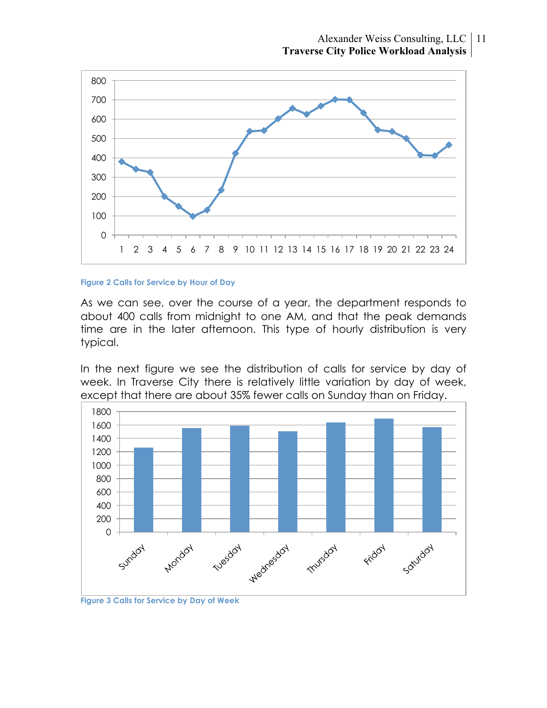

#### **Figure 2 Calls for Service by Hour of Day**

As we can see, over the course of a year, the department responds to about 400 calls from midnight to one AM, and that the peak demands time are in the later afternoon. This type of hourly distribution is very typical.

In the next figure we see the distribution of calls for service by day of week. In Traverse City there is relatively little variation by day of week, except that there are about 35% fewer calls on Sunday than on Friday.



**Figure 3 Calls for Service by Day of Week**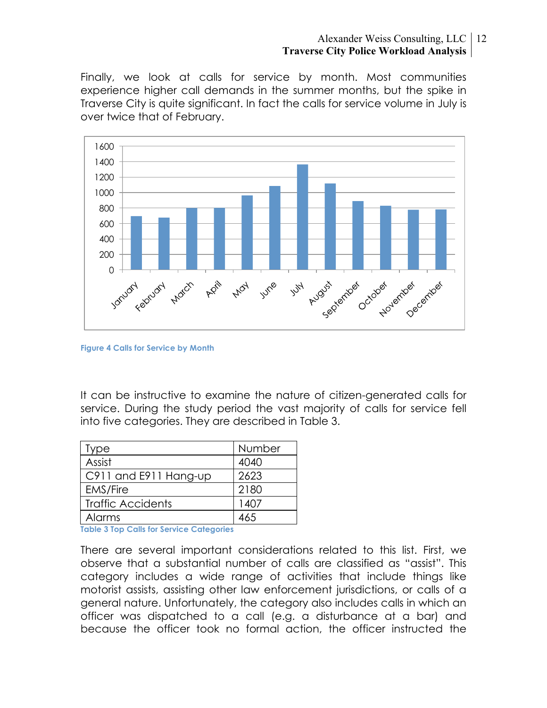#### Alexander Weiss Consulting, LLC 12 **Traverse City Police Workload Analysis**

Finally, we look at calls for service by month. Most communities experience higher call demands in the summer months, but the spike in Traverse City is quite significant. In fact the calls for service volume in July is over twice that of February.



**Figure 4 Calls for Service by Month**

It can be instructive to examine the nature of citizen-generated calls for service. During the study period the vast majority of calls for service fell into five categories. They are described in Table 3.

| Type                                    | Number |  |  |  |  |
|-----------------------------------------|--------|--|--|--|--|
| Assist                                  | 4040   |  |  |  |  |
| C911 and E911 Hang-up                   | 2623   |  |  |  |  |
| <b>EMS/Fire</b>                         | 2180   |  |  |  |  |
| <b>Traffic Accidents</b>                | 1407   |  |  |  |  |
| Alarms                                  | 465    |  |  |  |  |
| Iable 2 Ian Calle for Senion Catagorian |        |  |  |  |  |

**Table 3 Top Calls for Service Categories**

There are several important considerations related to this list. First, we observe that a substantial number of calls are classified as "assist". This category includes a wide range of activities that include things like motorist assists, assisting other law enforcement jurisdictions, or calls of a general nature. Unfortunately, the category also includes calls in which an officer was dispatched to a call (e.g. a disturbance at a bar) and because the officer took no formal action, the officer instructed the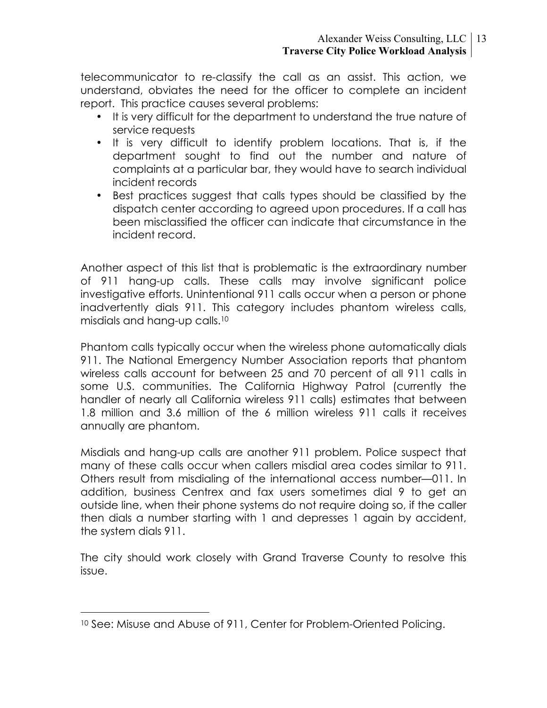telecommunicator to re-classify the call as an assist. This action, we understand, obviates the need for the officer to complete an incident report. This practice causes several problems:

- It is very difficult for the department to understand the true nature of service requests
- It is very difficult to identify problem locations. That is, if the department sought to find out the number and nature of complaints at a particular bar, they would have to search individual incident records
- Best practices suggest that calls types should be classified by the dispatch center according to agreed upon procedures. If a call has been misclassified the officer can indicate that circumstance in the incident record.

Another aspect of this list that is problematic is the extraordinary number of 911 hang-up calls. These calls may involve significant police investigative efforts. Unintentional 911 calls occur when a person or phone inadvertently dials 911. This category includes phantom wireless calls, misdials and hang-up calls.10

Phantom calls typically occur when the wireless phone automatically dials 911. The National Emergency Number Association reports that phantom wireless calls account for between 25 and 70 percent of all 911 calls in some U.S. communities. The California Highway Patrol (currently the handler of nearly all California wireless 911 calls) estimates that between 1.8 million and 3.6 million of the 6 million wireless 911 calls it receives annually are phantom.

Misdials and hang-up calls are another 911 problem. Police suspect that many of these calls occur when callers misdial area codes similar to 911. Others result from misdialing of the international access number—011. In addition, business Centrex and fax users sometimes dial 9 to get an outside line, when their phone systems do not require doing so, if the caller then dials a number starting with 1 and depresses 1 again by accident, the system dials 911.

The city should work closely with Grand Traverse County to resolve this issue.

 <sup>10</sup> See: Misuse and Abuse of 911, Center for Problem-Oriented Policing.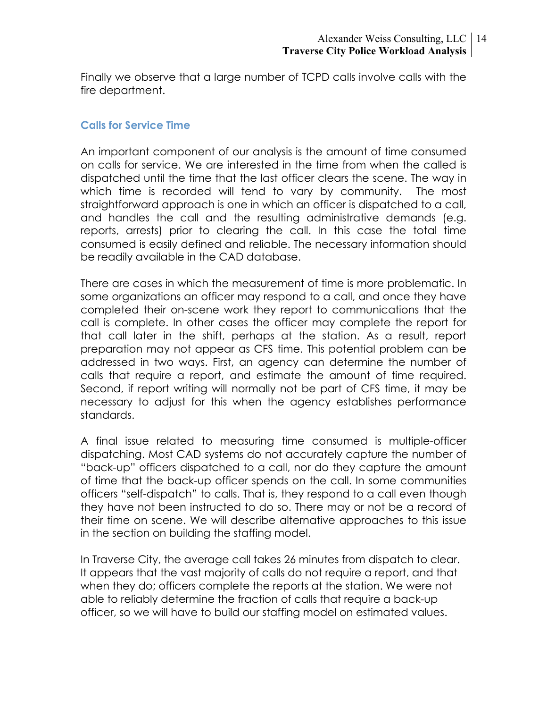Finally we observe that a large number of TCPD calls involve calls with the fire department.

#### **Calls for Service Time**

An important component of our analysis is the amount of time consumed on calls for service. We are interested in the time from when the called is dispatched until the time that the last officer clears the scene. The way in which time is recorded will tend to vary by community. The most straightforward approach is one in which an officer is dispatched to a call, and handles the call and the resulting administrative demands (e.g. reports, arrests) prior to clearing the call. In this case the total time consumed is easily defined and reliable. The necessary information should be readily available in the CAD database.

There are cases in which the measurement of time is more problematic. In some organizations an officer may respond to a call, and once they have completed their on-scene work they report to communications that the call is complete. In other cases the officer may complete the report for that call later in the shift, perhaps at the station. As a result, report preparation may not appear as CFS time. This potential problem can be addressed in two ways. First, an agency can determine the number of calls that require a report, and estimate the amount of time required. Second, if report writing will normally not be part of CFS time, it may be necessary to adjust for this when the agency establishes performance standards.

A final issue related to measuring time consumed is multiple-officer dispatching. Most CAD systems do not accurately capture the number of "back-up" officers dispatched to a call, nor do they capture the amount of time that the back-up officer spends on the call. In some communities officers "self-dispatch" to calls. That is, they respond to a call even though they have not been instructed to do so. There may or not be a record of their time on scene. We will describe alternative approaches to this issue in the section on building the staffing model.

In Traverse City, the average call takes 26 minutes from dispatch to clear. It appears that the vast majority of calls do not require a report, and that when they do; officers complete the reports at the station. We were not able to reliably determine the fraction of calls that require a back-up officer, so we will have to build our staffing model on estimated values.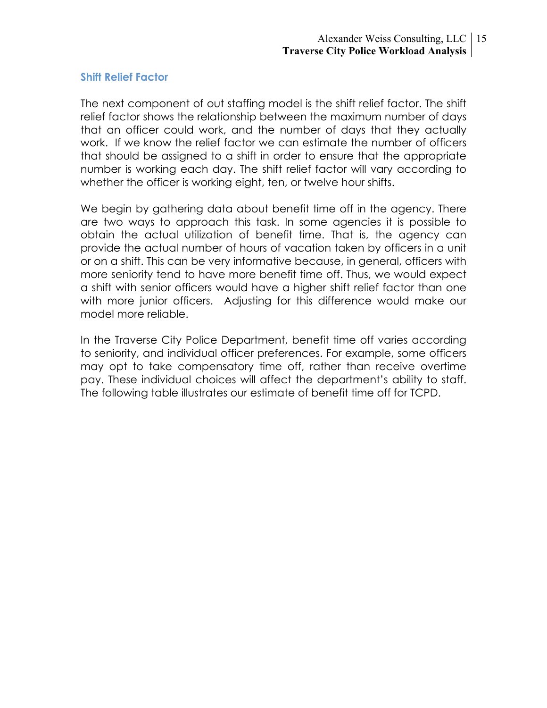#### **Shift Relief Factor**

The next component of out staffing model is the shift relief factor. The shift relief factor shows the relationship between the maximum number of days that an officer could work, and the number of days that they actually work. If we know the relief factor we can estimate the number of officers that should be assigned to a shift in order to ensure that the appropriate number is working each day. The shift relief factor will vary according to whether the officer is working eight, ten, or twelve hour shifts.

We begin by gathering data about benefit time off in the agency. There are two ways to approach this task. In some agencies it is possible to obtain the actual utilization of benefit time. That is, the agency can provide the actual number of hours of vacation taken by officers in a unit or on a shift. This can be very informative because, in general, officers with more seniority tend to have more benefit time off. Thus, we would expect a shift with senior officers would have a higher shift relief factor than one with more junior officers. Adjusting for this difference would make our model more reliable.

In the Traverse City Police Department, benefit time off varies according to seniority, and individual officer preferences. For example, some officers may opt to take compensatory time off, rather than receive overtime pay. These individual choices will affect the department's ability to staff. The following table illustrates our estimate of benefit time off for TCPD.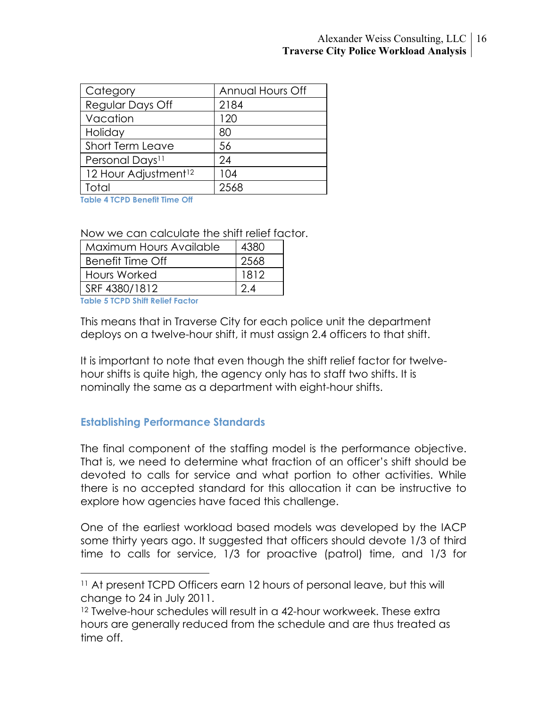| Category                         | Annual Hours Off |
|----------------------------------|------------------|
| Regular Days Off                 | 2184             |
| Vacation                         | 120              |
| Holiday                          | 80               |
| <b>Short Term Leave</b>          | 56               |
| Personal Days <sup>11</sup>      | 24               |
| 12 Hour Adjustment <sup>12</sup> | 104              |
| Total                            | 2568             |

**Table 4 TCPD Benefit Time Off**

Now we can calculate the shift relief factor.

| Maximum Hours Available | 4380 |
|-------------------------|------|
| Benefit Time Off        | 2568 |
| Hours Worked            | 1812 |
| SRF 4380/1812           |      |

**Table 5 TCPD Shift Relief Factor**

This means that in Traverse City for each police unit the department deploys on a twelve-hour shift, it must assign 2.4 officers to that shift.

It is important to note that even though the shift relief factor for twelvehour shifts is quite high, the agency only has to staff two shifts. It is nominally the same as a department with eight-hour shifts.

#### **Establishing Performance Standards**

The final component of the staffing model is the performance objective. That is, we need to determine what fraction of an officer's shift should be devoted to calls for service and what portion to other activities. While there is no accepted standard for this allocation it can be instructive to explore how agencies have faced this challenge.

One of the earliest workload based models was developed by the IACP some thirty years ago. It suggested that officers should devote 1/3 of third time to calls for service, 1/3 for proactive (patrol) time, and 1/3 for

 <sup>11</sup> At present TCPD Officers earn 12 hours of personal leave, but this will change to 24 in July 2011.

<sup>12</sup> Twelve-hour schedules will result in a 42-hour workweek. These extra hours are generally reduced from the schedule and are thus treated as time off.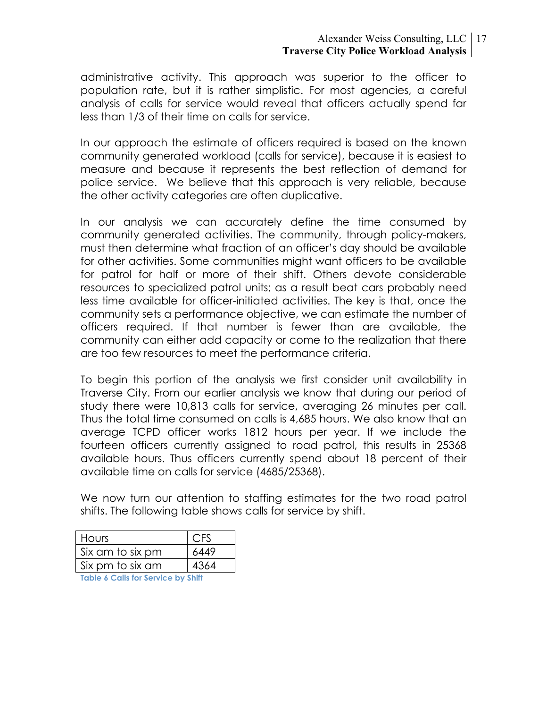#### Alexander Weiss Consulting, LLC 17 **Traverse City Police Workload Analysis**

administrative activity. This approach was superior to the officer to population rate, but it is rather simplistic. For most agencies, a careful analysis of calls for service would reveal that officers actually spend far less than 1/3 of their time on calls for service.

In our approach the estimate of officers required is based on the known community generated workload (calls for service), because it is easiest to measure and because it represents the best reflection of demand for police service. We believe that this approach is very reliable, because the other activity categories are often duplicative.

In our analysis we can accurately define the time consumed by community generated activities. The community, through policy-makers, must then determine what fraction of an officer's day should be available for other activities. Some communities might want officers to be available for patrol for half or more of their shift. Others devote considerable resources to specialized patrol units; as a result beat cars probably need less time available for officer-initiated activities. The key is that, once the community sets a performance objective, we can estimate the number of officers required. If that number is fewer than are available, the community can either add capacity or come to the realization that there are too few resources to meet the performance criteria.

To begin this portion of the analysis we first consider unit availability in Traverse City. From our earlier analysis we know that during our period of study there were 10,813 calls for service, averaging 26 minutes per call. Thus the total time consumed on calls is 4,685 hours. We also know that an average TCPD officer works 1812 hours per year. If we include the fourteen officers currently assigned to road patrol, this results in 25368 available hours. Thus officers currently spend about 18 percent of their available time on calls for service (4685/25368).

We now turn our attention to staffing estimates for the two road patrol shifts. The following table shows calls for service by shift.

| <b>Hours</b>     | <b>CFS</b> |
|------------------|------------|
| Six am to six pm | 6449       |
| Six pm to six am | 4364       |
|                  |            |

**Table 6 Calls for Service by Shift**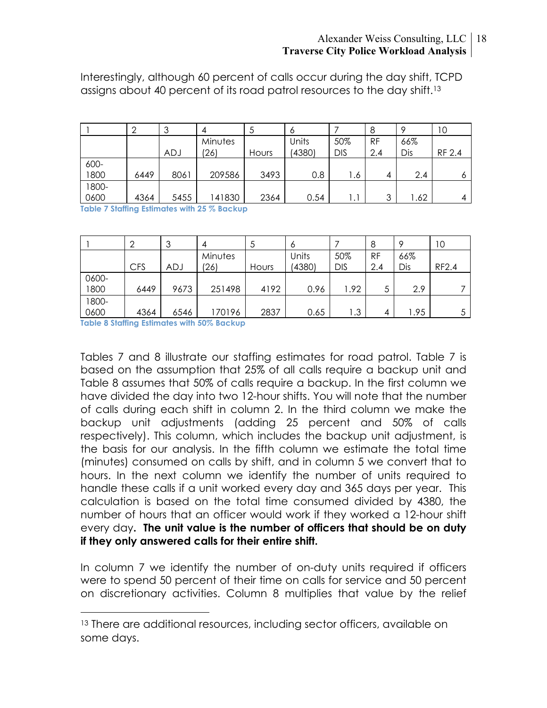#### Alexander Weiss Consulting, LLC 18 **Traverse City Police Workload Analysis**

Interestingly, although 60 percent of calls occur during the day shift, TCPD assigns about 40 percent of its road patrol resources to the day shift.13

|       |      | 3          | д       | J     | O      |            | 8         | Q   | 10     |
|-------|------|------------|---------|-------|--------|------------|-----------|-----|--------|
|       |      |            | Minutes |       | Units  | 50%        | <b>RF</b> | 66% |        |
|       |      | <b>ADJ</b> | (26)    | Hours | (4380) | <b>DIS</b> | 2.4       | Dis | RF 2.4 |
| 600-  |      |            |         |       |        |            |           |     |        |
| 1800  | 6449 | 8061       | 209586  | 3493  | 0.8    | ه. ا       | 4         | 2.4 |        |
| 1800- |      |            |         |       |        |            |           |     |        |
| 0600  | 4364 | 5455       | 141830  | 2364  | 0.54   | Ι.         | っ         | .62 |        |

**Table 7 Staffing Estimates with 25 % Backup**

|       | ↷          | ာ<br>J | 4       | 5     | 6      |            | 8         | <b>Q</b> | 10    |
|-------|------------|--------|---------|-------|--------|------------|-----------|----------|-------|
|       |            |        | Minutes |       | Units  | 50%        | <b>RF</b> | 66%      |       |
|       | <b>CFS</b> | ADJ    | (26)    | Hours | (4380) | <b>DIS</b> | 2.4       | Dis      | RF2.4 |
| 0600- |            |        |         |       |        |            |           |          |       |
| 1800  | 6449       | 9673   | 251498  | 4192  | 0.96   | 1.92       | 5         | 2.9      |       |
| 1800- |            |        |         |       |        |            |           |          |       |
| 0600  | 4364       | 6546   | 170196  | 2837  | 0.65   | .3         | 4         | 1.95     |       |

**Table 8 Staffing Estimates with 50% Backup**

Tables 7 and 8 illustrate our staffing estimates for road patrol. Table 7 is based on the assumption that 25% of all calls require a backup unit and Table 8 assumes that 50% of calls require a backup. In the first column we have divided the day into two 12-hour shifts. You will note that the number of calls during each shift in column 2. In the third column we make the backup unit adjustments (adding 25 percent and 50% of calls respectively). This column, which includes the backup unit adjustment, is the basis for our analysis. In the fifth column we estimate the total time (minutes) consumed on calls by shift, and in column 5 we convert that to hours. In the next column we identify the number of units required to handle these calls if a unit worked every day and 365 days per year. This calculation is based on the total time consumed divided by 4380, the number of hours that an officer would work if they worked a 12-hour shift every day**. The unit value is the number of officers that should be on duty if they only answered calls for their entire shift.** 

In column 7 we identify the number of on-duty units required if officers were to spend 50 percent of their time on calls for service and 50 percent on discretionary activities. Column 8 multiplies that value by the relief

<sup>&</sup>lt;sup>13</sup> There are additional resources, including sector officers, available on some days.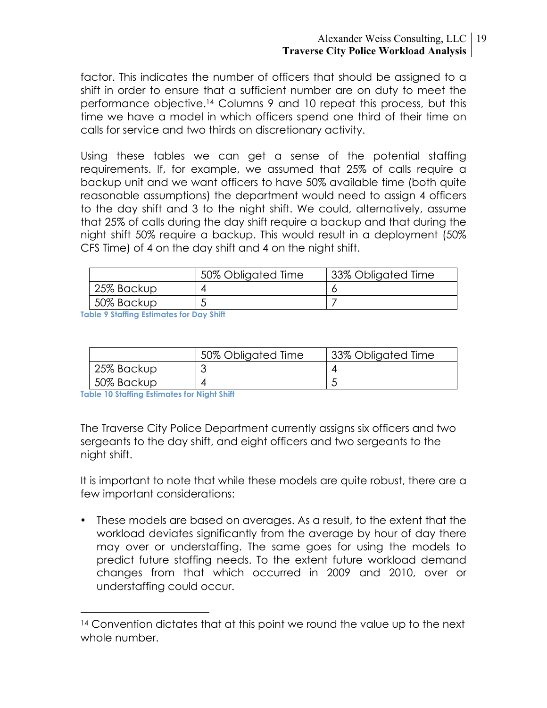#### Alexander Weiss Consulting, LLC 19 **Traverse City Police Workload Analysis**

factor. This indicates the number of officers that should be assigned to a shift in order to ensure that a sufficient number are on duty to meet the performance objective.14 Columns 9 and 10 repeat this process, but this time we have a model in which officers spend one third of their time on calls for service and two thirds on discretionary activity.

Using these tables we can get a sense of the potential staffing requirements. If, for example, we assumed that 25% of calls require a backup unit and we want officers to have 50% available time (both quite reasonable assumptions) the department would need to assign 4 officers to the day shift and 3 to the night shift. We could, alternatively, assume that 25% of calls during the day shift require a backup and that during the night shift 50% require a backup. This would result in a deployment (50% CFS Time) of 4 on the day shift and 4 on the night shift.

|            | 50% Obligated Time | 33% Obligated Time |
|------------|--------------------|--------------------|
| 25% Backup |                    |                    |
| 50% Backup |                    |                    |

**Table 9 Staffing Estimates for Day Shift** 

|            | 50% Obligated Time | 33% Obligated Time |
|------------|--------------------|--------------------|
| 25% Backup |                    |                    |
| 50% Backup |                    |                    |

**Table 10 Staffing Estimates for Night Shift**

The Traverse City Police Department currently assigns six officers and two sergeants to the day shift, and eight officers and two sergeants to the night shift.

It is important to note that while these models are quite robust, there are a few important considerations:

• These models are based on averages. As a result, to the extent that the workload deviates significantly from the average by hour of day there may over or understaffing. The same goes for using the models to predict future staffing needs. To the extent future workload demand changes from that which occurred in 2009 and 2010, over or understaffing could occur.

<sup>&</sup>lt;sup>14</sup> Convention dictates that at this point we round the value up to the next whole number.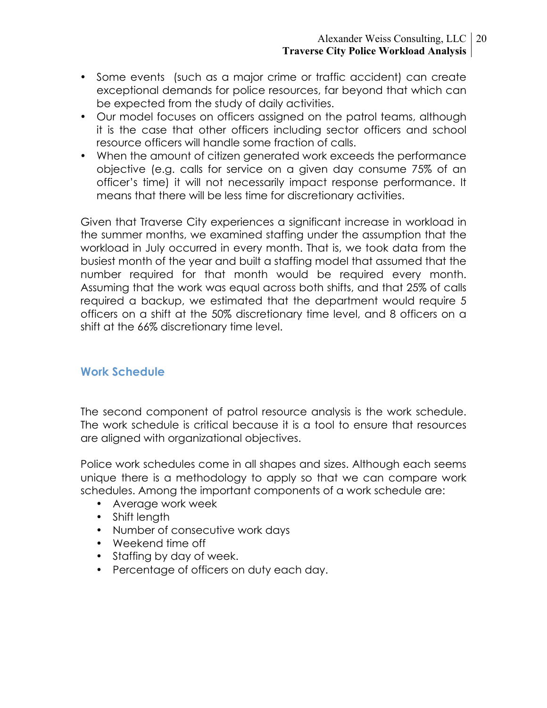- Some events (such as a major crime or traffic accident) can create exceptional demands for police resources, far beyond that which can be expected from the study of daily activities.
- Our model focuses on officers assigned on the patrol teams, although it is the case that other officers including sector officers and school resource officers will handle some fraction of calls.
- When the amount of citizen generated work exceeds the performance objective (e.g. calls for service on a given day consume 75% of an officer's time) it will not necessarily impact response performance. It means that there will be less time for discretionary activities.

Given that Traverse City experiences a significant increase in workload in the summer months, we examined staffing under the assumption that the workload in July occurred in every month. That is, we took data from the busiest month of the year and built a staffing model that assumed that the number required for that month would be required every month. Assuming that the work was equal across both shifts, and that 25% of calls required a backup, we estimated that the department would require 5 officers on a shift at the 50% discretionary time level, and 8 officers on a shift at the 66% discretionary time level.

## **Work Schedule**

The second component of patrol resource analysis is the work schedule. The work schedule is critical because it is a tool to ensure that resources are aligned with organizational objectives.

Police work schedules come in all shapes and sizes. Although each seems unique there is a methodology to apply so that we can compare work schedules. Among the important components of a work schedule are:

- Average work week
- Shift length
- Number of consecutive work days
- Weekend time off
- Staffing by day of week.
- Percentage of officers on duty each day.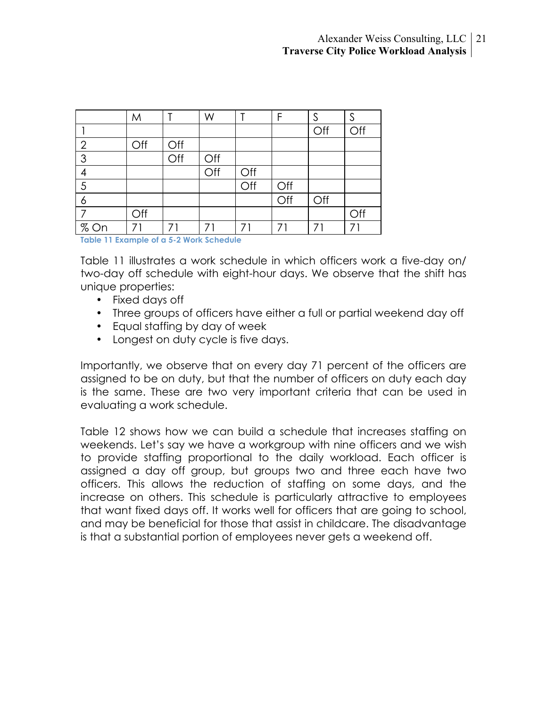|                                          | M   |     | W   |     | F   |     | S   |  |
|------------------------------------------|-----|-----|-----|-----|-----|-----|-----|--|
|                                          |     |     |     |     |     | Off | Off |  |
| $\overline{2}$                           | Off | Off |     |     |     |     |     |  |
| 3                                        |     | Off | Off |     |     |     |     |  |
| $\overline{4}$                           |     |     | Off | Off |     |     |     |  |
| 5                                        |     |     |     | Off | Off |     |     |  |
| 6                                        |     |     |     |     | Off | Off |     |  |
|                                          | Off |     |     |     |     |     | Off |  |
| % On                                     |     | 71  | 71  | 71  | 71  | 71  | 71  |  |
| Table 11 Evample of a E 2 Work Schoolule |     |     |     |     |     |     |     |  |

**Table 11 Example of a 5-2 Work Schedule**

Table 11 illustrates a work schedule in which officers work a five-day on/ two-day off schedule with eight-hour days. We observe that the shift has unique properties:

- Fixed days off
- Three groups of officers have either a full or partial weekend day off
- Equal staffing by day of week
- Longest on duty cycle is five days.

Importantly, we observe that on every day 71 percent of the officers are assigned to be on duty, but that the number of officers on duty each day is the same. These are two very important criteria that can be used in evaluating a work schedule.

Table 12 shows how we can build a schedule that increases staffing on weekends. Let's say we have a workgroup with nine officers and we wish to provide staffing proportional to the daily workload. Each officer is assigned a day off group, but groups two and three each have two officers. This allows the reduction of staffing on some days, and the increase on others. This schedule is particularly attractive to employees that want fixed days off. It works well for officers that are going to school, and may be beneficial for those that assist in childcare. The disadvantage is that a substantial portion of employees never gets a weekend off.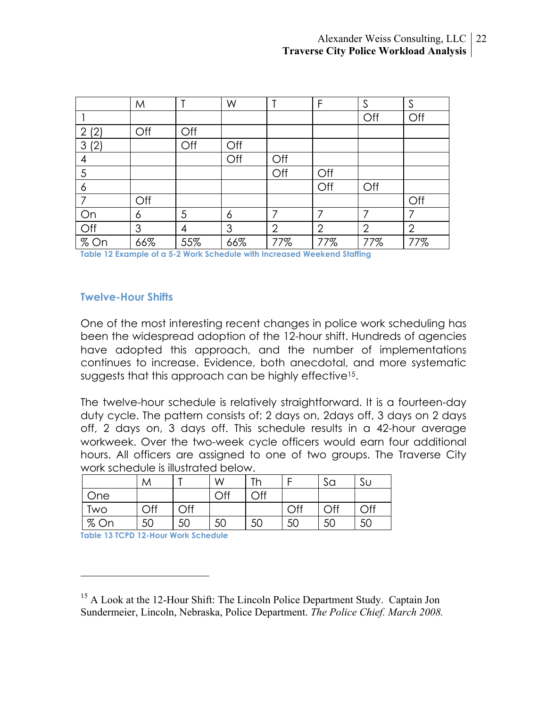|                       | M   |     | W   | т              | F              | S              | S              |
|-----------------------|-----|-----|-----|----------------|----------------|----------------|----------------|
|                       |     |     |     |                |                | Off            | Off            |
| (2)<br>$\overline{2}$ | Off | Off |     |                |                |                |                |
| 3(2)                  |     | Off | Off |                |                |                |                |
| 4                     |     |     | Off | Off            |                |                |                |
| 5                     |     |     |     | Off            | Off            |                |                |
| 6                     |     |     |     |                | Off            | Off            |                |
| 7                     | Off |     |     |                |                |                | Off            |
| On                    | 6   | 5   | 6   | 7              | 7              | 7              | 7              |
| Off                   | 3   | 4   | 3   | $\overline{2}$ | $\overline{2}$ | $\overline{2}$ | $\overline{2}$ |
| $%$ On                | 66% | 55% | 66% | 77%            | 77%            | 77%            | 77%            |

**Table 12 Example of a 5-2 Work Schedule with Increased Weekend Staffing**

#### **Twelve-Hour Shifts**

One of the most interesting recent changes in police work scheduling has been the widespread adoption of the 12-hour shift. Hundreds of agencies have adopted this approach, and the number of implementations continues to increase. Evidence, both anecdotal, and more systematic suggests that this approach can be highly effective<sup>15</sup>.

The twelve-hour schedule is relatively straightforward. It is a fourteen-day duty cycle. The pattern consists of: 2 days on, 2days off, 3 days on 2 days off, 2 days on, 3 days off. This schedule results in a 42-hour average workweek. Over the two-week cycle officers would earn four additional hours. All officers are assigned to one of two groups. The Traverse City work schedule is illustrated below.

|      | M              |                | W   | Th  |     | Sa  | Sυ  |
|------|----------------|----------------|-----|-----|-----|-----|-----|
| One  |                |                | Off | Off |     |     |     |
| Two  | $\mathsf{Off}$ | $\mathsf{Off}$ |     |     | Off | Off | Off |
| % On | 50             | 50             | 50  | 50  | 50  | -50 | 50  |

**Table 13 TCPD 12-Hour Work Schedule**

1

<sup>&</sup>lt;sup>15</sup> A Look at the 12-Hour Shift: The Lincoln Police Department Study. Captain Jon Sundermeier, Lincoln, Nebraska, Police Department. *The Police Chief. March 2008.*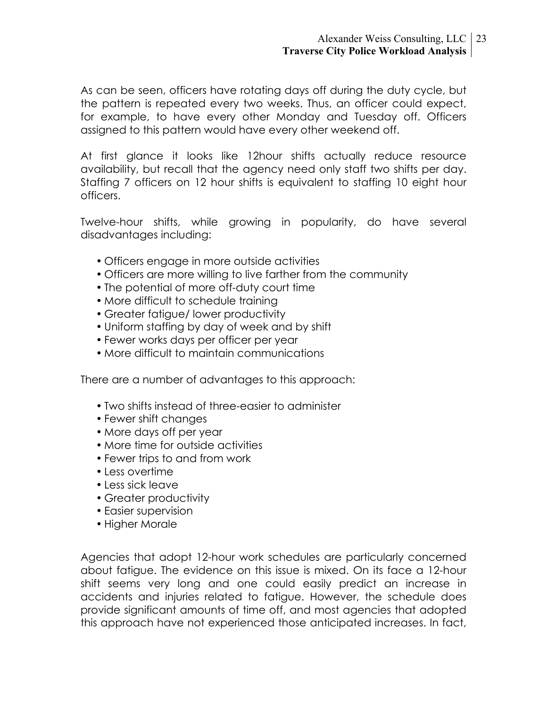As can be seen, officers have rotating days off during the duty cycle, but the pattern is repeated every two weeks. Thus, an officer could expect, for example, to have every other Monday and Tuesday off. Officers assigned to this pattern would have every other weekend off.

At first glance it looks like 12hour shifts actually reduce resource availability, but recall that the agency need only staff two shifts per day. Staffing 7 officers on 12 hour shifts is equivalent to staffing 10 eight hour officers.

Twelve-hour shifts, while growing in popularity, do have several disadvantages including:

- Officers engage in more outside activities
- Officers are more willing to live farther from the community
- The potential of more off-duty court time
- More difficult to schedule training
- Greater fatigue/ lower productivity
- Uniform staffing by day of week and by shift
- Fewer works days per officer per year
- More difficult to maintain communications

There are a number of advantages to this approach:

- Two shifts instead of three-easier to administer
- Fewer shift changes
- More days off per year
- More time for outside activities
- Fewer trips to and from work
- Less overtime
- Less sick leave
- Greater productivity
- Easier supervision
- Higher Morale

Agencies that adopt 12-hour work schedules are particularly concerned about fatigue. The evidence on this issue is mixed. On its face a 12-hour shift seems very long and one could easily predict an increase in accidents and injuries related to fatigue. However, the schedule does provide significant amounts of time off, and most agencies that adopted this approach have not experienced those anticipated increases. In fact,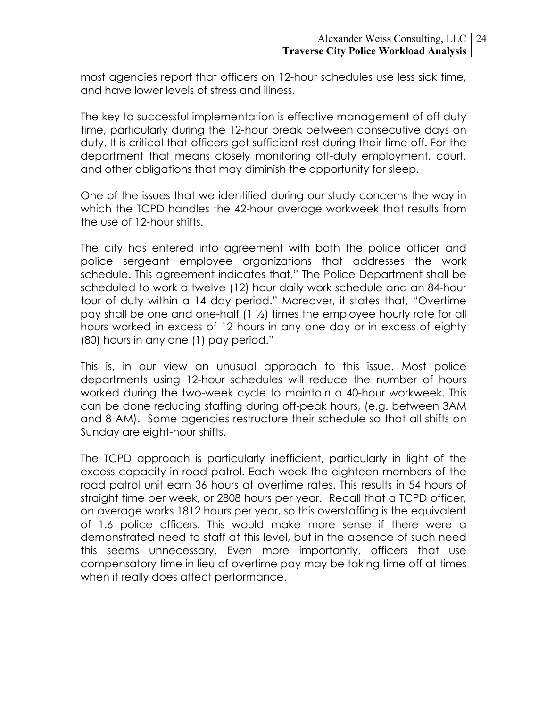most agencies report that officers on 12-hour schedules use less sick time, and have lower levels of stress and illness.

The key to successful implementation is effective management of off duty time, particularly during the 12-hour break between consecutive days on duty. It is critical that officers get sufficient rest during their time off. For the department that means closely monitoring off-duty employment, court, and other obligations that may diminish the opportunity for sleep.

One of the issues that we identified during our study concerns the way in which the TCPD handles the 42-hour average workweek that results from the use of 12-hour shifts.

The city has entered into agreement with both the police officer and police sergeant employee organizations that addresses the work schedule. This agreement indicates that," The Police Department shall be scheduled to work a twelve (12) hour daily work schedule and an 84-hour tour of duty within a 14 day period." Moreover, it states that, "Overtime pay shall be one and one-half (1 ½) times the employee hourly rate for all hours worked in excess of 12 hours in any one day or in excess of eighty (80) hours in any one (1) pay period."

This is, in our view an unusual approach to this issue. Most police departments using 12-hour schedules will reduce the number of hours worked during the two-week cycle to maintain a 40-hour workweek. This can be done reducing staffing during off-peak hours, (e.g. between 3AM and 8 AM). Some agencies restructure their schedule so that all shifts on Sunday are eight-hour shifts.

The TCPD approach is particularly inefficient, particularly in light of the excess capacity in road patrol. Each week the eighteen members of the road patrol unit earn 36 hours at overtime rates. This results in 54 hours of straight time per week, or 2808 hours per year. Recall that a TCPD officer, on average works 1812 hours per year, so this overstaffing is the equivalent of 1.6 police officers. This would make more sense if there were a demonstrated need to staff at this level, but in the absence of such need this seems unnecessary. Even more importantly, officers that use compensatory time in lieu of overtime pay may be taking time off at times when it really does affect performance.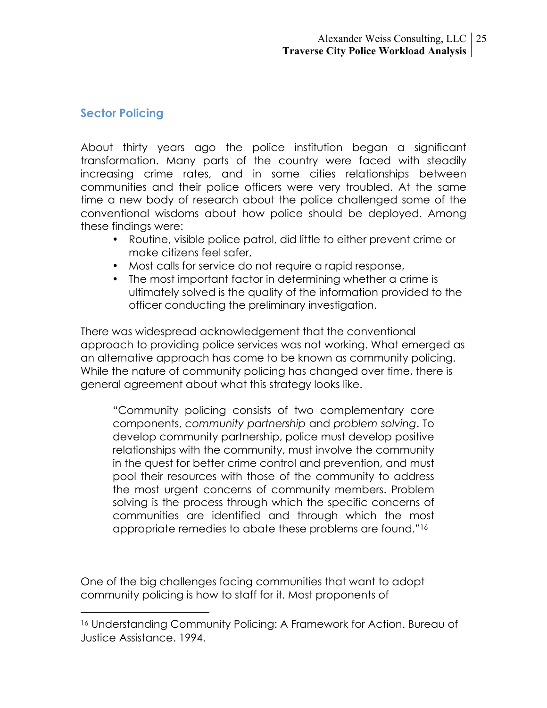## **Sector Policing**

About thirty years ago the police institution began a significant transformation. Many parts of the country were faced with steadily increasing crime rates, and in some cities relationships between communities and their police officers were very troubled. At the same time a new body of research about the police challenged some of the conventional wisdoms about how police should be deployed. Among these findings were:

- Routine, visible police patrol, did little to either prevent crime or make citizens feel safer,
- Most calls for service do not require a rapid response,
- The most important factor in determining whether a crime is ultimately solved is the quality of the information provided to the officer conducting the preliminary investigation.

There was widespread acknowledgement that the conventional approach to providing police services was not working. What emerged as an alternative approach has come to be known as community policing. While the nature of community policing has changed over time, there is general agreement about what this strategy looks like.

"Community policing consists of two complementary core components, *community partnership* and *problem solving*. To develop community partnership, police must develop positive relationships with the community, must involve the community in the quest for better crime control and prevention, and must pool their resources with those of the community to address the most urgent concerns of community members. Problem solving is the process through which the specific concerns of communities are identified and through which the most appropriate remedies to abate these problems are found."16

One of the big challenges facing communities that want to adopt community policing is how to staff for it. Most proponents of

 <sup>16</sup> Understanding Community Policing: A Framework for Action. Bureau of Justice Assistance. 1994.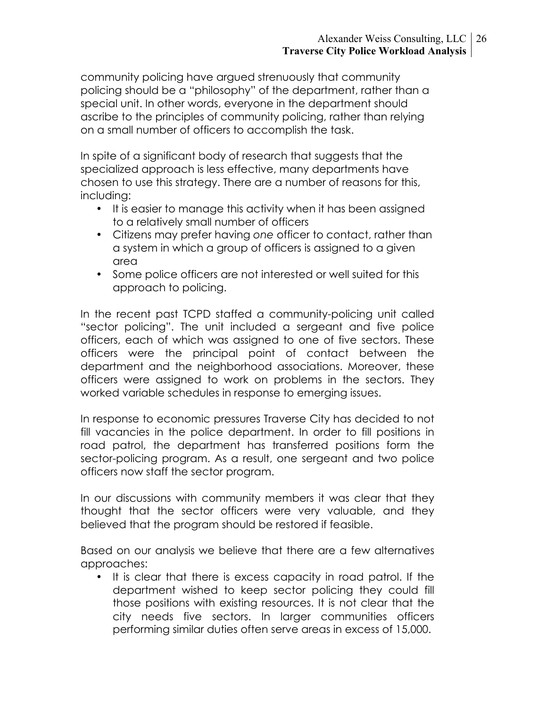community policing have argued strenuously that community policing should be a "philosophy" of the department, rather than a special unit. In other words, everyone in the department should ascribe to the principles of community policing, rather than relying on a small number of officers to accomplish the task.

In spite of a significant body of research that suggests that the specialized approach is less effective, many departments have chosen to use this strategy. There are a number of reasons for this, including:

- It is easier to manage this activity when it has been assigned to a relatively small number of officers
- Citizens may prefer having *one* officer to contact, rather than a system in which a group of officers is assigned to a given area
- Some police officers are not interested or well suited for this approach to policing.

In the recent past TCPD staffed a community-policing unit called "sector policing". The unit included a sergeant and five police officers, each of which was assigned to one of five sectors. These officers were the principal point of contact between the department and the neighborhood associations. Moreover, these officers were assigned to work on problems in the sectors. They worked variable schedules in response to emerging issues.

In response to economic pressures Traverse City has decided to not fill vacancies in the police department. In order to fill positions in road patrol, the department has transferred positions form the sector-policing program. As a result, one sergeant and two police officers now staff the sector program.

In our discussions with community members it was clear that they thought that the sector officers were very valuable, and they believed that the program should be restored if feasible.

Based on our analysis we believe that there are a few alternatives approaches:

• It is clear that there is excess capacity in road patrol. If the department wished to keep sector policing they could fill those positions with existing resources. It is not clear that the city needs five sectors. In larger communities officers performing similar duties often serve areas in excess of 15,000.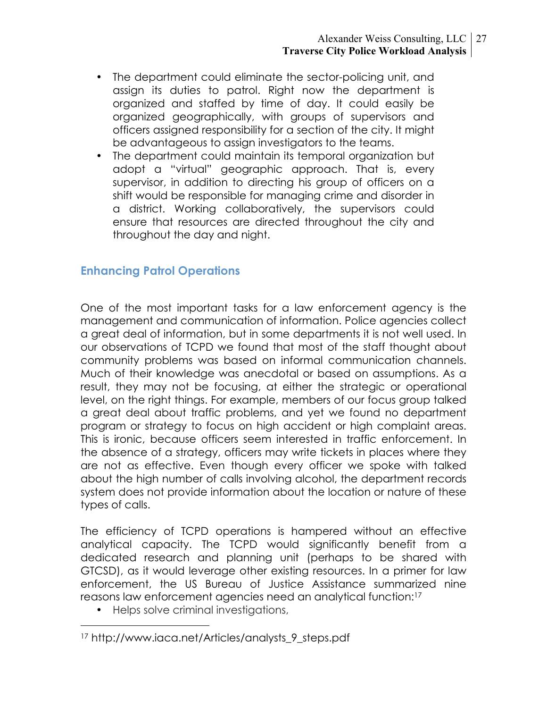- The department could eliminate the sector-policing unit, and assign its duties to patrol. Right now the department is organized and staffed by time of day. It could easily be organized geographically, with groups of supervisors and officers assigned responsibility for a section of the city. It might be advantageous to assign investigators to the teams.
- The department could maintain its temporal organization but adopt a "virtual" geographic approach. That is, every supervisor, in addition to directing his group of officers on a shift would be responsible for managing crime and disorder in a district. Working collaboratively, the supervisors could ensure that resources are directed throughout the city and throughout the day and night.

### **Enhancing Patrol Operations**

One of the most important tasks for a law enforcement agency is the management and communication of information. Police agencies collect a great deal of information, but in some departments it is not well used. In our observations of TCPD we found that most of the staff thought about community problems was based on informal communication channels. Much of their knowledge was anecdotal or based on assumptions. As a result, they may not be focusing, at either the strategic or operational level, on the right things. For example, members of our focus group talked a great deal about traffic problems, and yet we found no department program or strategy to focus on high accident or high complaint areas. This is ironic, because officers seem interested in traffic enforcement. In the absence of a strategy, officers may write tickets in places where they are not as effective. Even though every officer we spoke with talked about the high number of calls involving alcohol, the department records system does not provide information about the location or nature of these types of calls.

The efficiency of TCPD operations is hampered without an effective analytical capacity. The TCPD would significantly benefit from a dedicated research and planning unit (perhaps to be shared with GTCSD), as it would leverage other existing resources. In a primer for law enforcement, the US Bureau of Justice Assistance summarized nine reasons law enforcement agencies need an analytical function:17

• Helps solve criminal investigations,

 <sup>17</sup> http://www.iaca.net/Articles/analysts\_9\_steps.pdf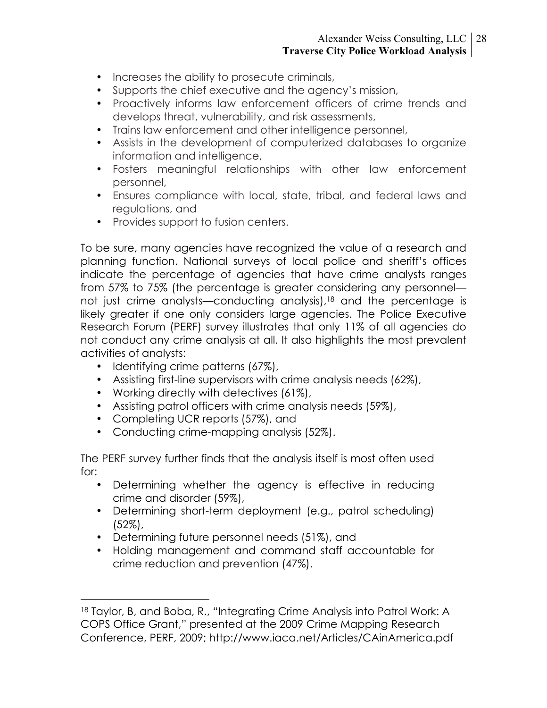- Increases the ability to prosecute criminals,
- Supports the chief executive and the agency's mission,
- Proactively informs law enforcement officers of crime trends and develops threat, vulnerability, and risk assessments,
- Trains law enforcement and other intelligence personnel,
- Assists in the development of computerized databases to organize information and intelligence,
- Fosters meaningful relationships with other law enforcement personnel,
- Ensures compliance with local, state, tribal, and federal laws and regulations, and
- Provides support to fusion centers.

To be sure, many agencies have recognized the value of a research and planning function. National surveys of local police and sheriff's offices indicate the percentage of agencies that have crime analysts ranges from 57% to 75% (the percentage is greater considering any personnel not just crime analysts—conducting analysis),<sup>18</sup> and the percentage is likely greater if one only considers large agencies. The Police Executive Research Forum (PERF) survey illustrates that only 11% of all agencies do not conduct any crime analysis at all. It also highlights the most prevalent activities of analysts:

- Identifying crime patterns (67%),
- Assisting first-line supervisors with crime analysis needs (62%),
- Working directly with detectives (61%),
- Assisting patrol officers with crime analysis needs (59%),
- Completing UCR reports (57%), and
- Conducting crime-mapping analysis (52%).

The PERF survey further finds that the analysis itself is most often used for:

- Determining whether the agency is effective in reducing crime and disorder (59%),
- Determining short-term deployment (e.g., patrol scheduling) (52%),
- Determining future personnel needs (51%), and
- Holding management and command staff accountable for crime reduction and prevention (47%).

<sup>18</sup> Taylor, B, and Boba, R., "Integrating Crime Analysis into Patrol Work: A COPS Office Grant," presented at the 2009 Crime Mapping Research Conference, PERF, 2009; http://www.iaca.net/Articles/CAinAmerica.pdf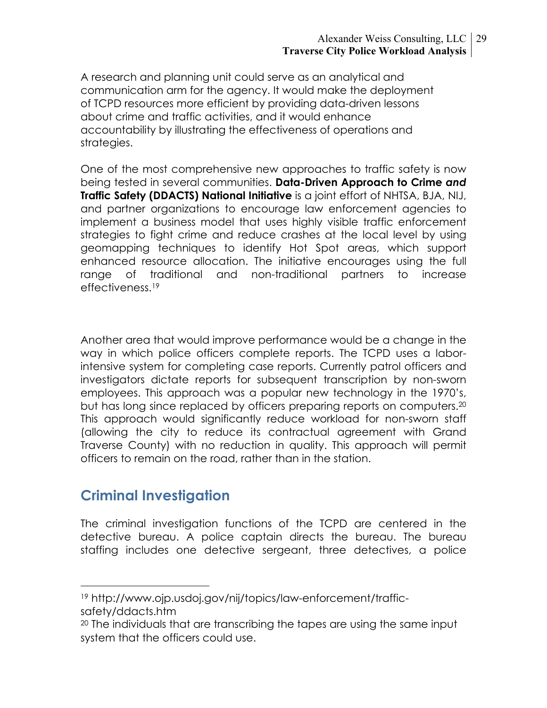A research and planning unit could serve as an analytical and communication arm for the agency. It would make the deployment of TCPD resources more efficient by providing data-driven lessons about crime and traffic activities, and it would enhance accountability by illustrating the effectiveness of operations and strategies.

One of the most comprehensive new approaches to traffic safety is now being tested in several communities. **Data-Driven Approach to Crime** *and*  **Traffic Safety (DDACTS) National Initiative** is a joint effort of NHTSA, BJA, NIJ, and partner organizations to encourage law enforcement agencies to implement a business model that uses highly visible traffic enforcement strategies to fight crime and reduce crashes at the local level by using geomapping techniques to identify Hot Spot areas, which support enhanced resource allocation. The initiative encourages using the full range of traditional and non-traditional partners to increase effectiveness.<sup>19</sup>

Another area that would improve performance would be a change in the way in which police officers complete reports. The TCPD uses a laborintensive system for completing case reports. Currently patrol officers and investigators dictate reports for subsequent transcription by non-sworn employees. This approach was a popular new technology in the 1970's, but has long since replaced by officers preparing reports on computers.20 This approach would significantly reduce workload for non-sworn staff (allowing the city to reduce its contractual agreement with Grand Traverse County) with no reduction in quality. This approach will permit officers to remain on the road, rather than in the station.

# **Criminal Investigation**

The criminal investigation functions of the TCPD are centered in the detective bureau. A police captain directs the bureau. The bureau staffing includes one detective sergeant, three detectives, a police

 <sup>19</sup> http://www.ojp.usdoj.gov/nij/topics/law-enforcement/trafficsafety/ddacts.htm

<sup>20</sup> The individuals that are transcribing the tapes are using the same input system that the officers could use.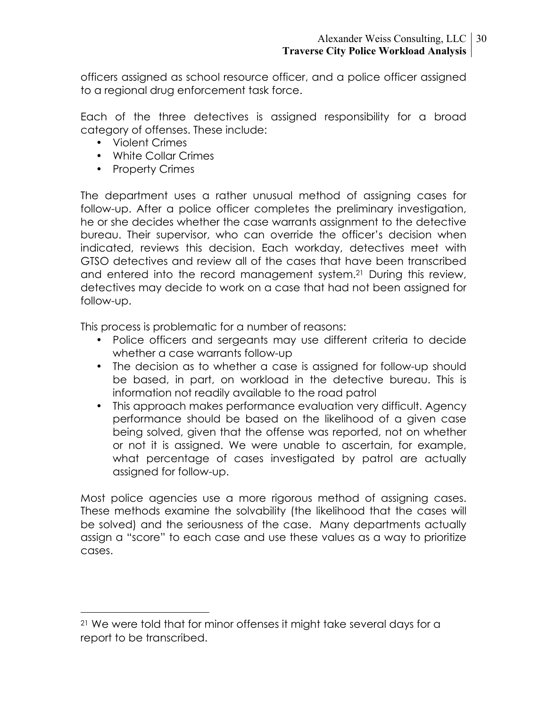officers assigned as school resource officer, and a police officer assigned to a regional drug enforcement task force.

Each of the three detectives is assigned responsibility for a broad category of offenses. These include:

- Violent Crimes
- White Collar Crimes
- Property Crimes

The department uses a rather unusual method of assigning cases for follow-up. After a police officer completes the preliminary investigation, he or she decides whether the case warrants assignment to the detective bureau. Their supervisor, who can override the officer's decision when indicated, reviews this decision. Each workday, detectives meet with GTSO detectives and review all of the cases that have been transcribed and entered into the record management system.21 During this review, detectives may decide to work on a case that had not been assigned for follow-up.

This process is problematic for a number of reasons:

- Police officers and sergeants may use different criteria to decide whether a case warrants follow-up
- The decision as to whether a case is assigned for follow-up should be based, in part, on workload in the detective bureau. This is information not readily available to the road patrol
- This approach makes performance evaluation very difficult. Agency performance should be based on the likelihood of a given case being solved, given that the offense was reported, not on whether or not it is assigned. We were unable to ascertain, for example, what percentage of cases investigated by patrol are actually assigned for follow-up.

Most police agencies use a more rigorous method of assigning cases. These methods examine the solvability (the likelihood that the cases will be solved) and the seriousness of the case. Many departments actually assign a "score" to each case and use these values as a way to prioritize cases.

 <sup>21</sup> We were told that for minor offenses it might take several days for a report to be transcribed.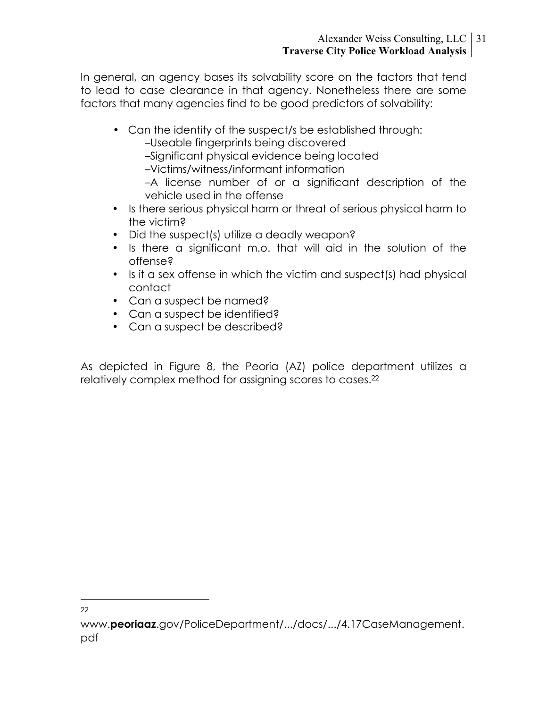In general, an agency bases its solvability score on the factors that tend to lead to case clearance in that agency. Nonetheless there are some factors that many agencies find to be good predictors of solvability:

• Can the identity of the suspect/s be established through:

–Useable fingerprints being discovered

–Significant physical evidence being located

–Victims/witness/informant information

–A license number of or a significant description of the vehicle used in the offense

- Is there serious physical harm or threat of serious physical harm to the victim?
- Did the suspect(s) utilize a deadly weapon?
- Is there a significant m.o. that will aid in the solution of the offense?
- Is it a sex offense in which the victim and suspect(s) had physical contact
- Can a suspect be named?
- Can a suspect be identified?
- Can a suspect be described?

As depicted in Figure 8, the Peoria (AZ) police department utilizes a relatively complex method for assigning scores to cases.<sup>22</sup>

22

www.**peoriaaz**.gov/PoliceDepartment/.../docs/.../4.17CaseManagement. pdf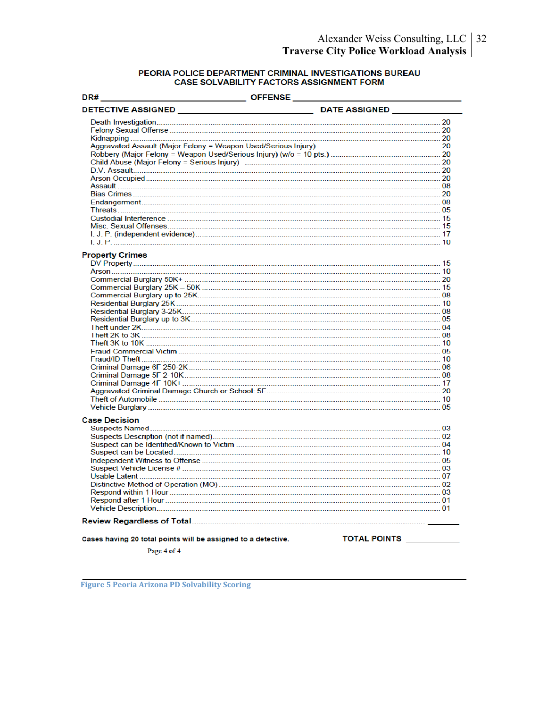# PEORIA POLICE DEPARTMENT CRIMINAL INVESTIGATIONS BUREAU<br>CASE SOLVABILITY FACTORS ASSIGNMENT FORM

| DR#<br>_____________________ OFFENSE _                        |                     |
|---------------------------------------------------------------|---------------------|
|                                                               |                     |
|                                                               |                     |
|                                                               |                     |
|                                                               |                     |
|                                                               |                     |
|                                                               |                     |
|                                                               |                     |
|                                                               |                     |
|                                                               |                     |
|                                                               |                     |
|                                                               |                     |
|                                                               |                     |
|                                                               |                     |
|                                                               |                     |
|                                                               |                     |
|                                                               |                     |
|                                                               |                     |
| <b>Property Crimes</b>                                        |                     |
|                                                               |                     |
|                                                               |                     |
|                                                               |                     |
|                                                               |                     |
|                                                               |                     |
|                                                               |                     |
|                                                               |                     |
|                                                               |                     |
|                                                               |                     |
|                                                               |                     |
|                                                               |                     |
|                                                               |                     |
|                                                               |                     |
|                                                               |                     |
|                                                               |                     |
|                                                               |                     |
|                                                               |                     |
|                                                               |                     |
|                                                               |                     |
|                                                               |                     |
| <b>Case Decision</b>                                          |                     |
|                                                               |                     |
|                                                               |                     |
|                                                               |                     |
|                                                               |                     |
|                                                               |                     |
|                                                               |                     |
|                                                               |                     |
|                                                               |                     |
|                                                               |                     |
|                                                               |                     |
|                                                               |                     |
|                                                               |                     |
|                                                               |                     |
| Cases having 20 total points will be assigned to a detective. | <b>TOTAL POINTS</b> |
| Page 4 of 4                                                   |                     |

**Figure
5
Peoria
Arizona
PD
Solvability
Scoring**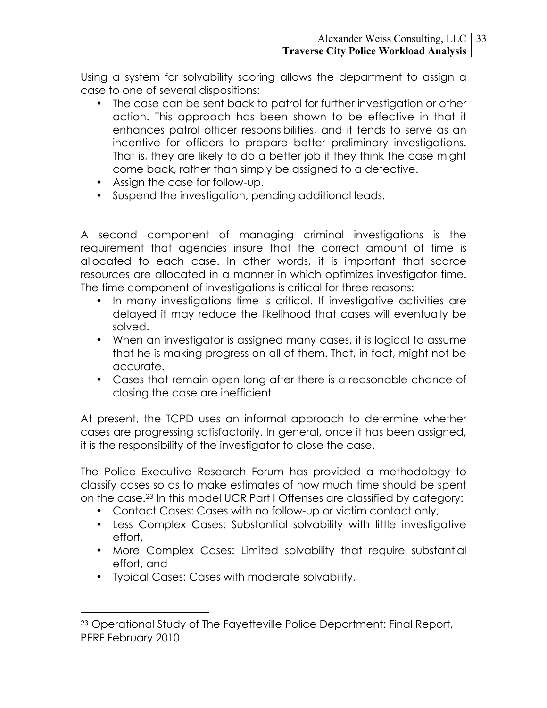Using a system for solvability scoring allows the department to assign a case to one of several dispositions:

- The case can be sent back to patrol for further investigation or other action. This approach has been shown to be effective in that it enhances patrol officer responsibilities, and it tends to serve as an incentive for officers to prepare better preliminary investigations. That is, they are likely to do a better job if they think the case might come back, rather than simply be assigned to a detective.
- Assign the case for follow-up.
- Suspend the investigation, pending additional leads.

A second component of managing criminal investigations is the requirement that agencies insure that the correct amount of time is allocated to each case. In other words, it is important that scarce resources are allocated in a manner in which optimizes investigator time. The time component of investigations is critical for three reasons:

- In many investigations time is critical. If investigative activities are delayed it may reduce the likelihood that cases will eventually be solved.
- When an investigator is assigned many cases, it is logical to assume that he is making progress on all of them. That, in fact, might not be accurate.
- Cases that remain open long after there is a reasonable chance of closing the case are inefficient.

At present, the TCPD uses an informal approach to determine whether cases are progressing satisfactorily. In general, once it has been assigned, it is the responsibility of the investigator to close the case.

The Police Executive Research Forum has provided a methodology to classify cases so as to make estimates of how much time should be spent on the case.23 In this model UCR Part I Offenses are classified by category:

- Contact Cases: Cases with no follow-up or victim contact only,
- Less Complex Cases: Substantial solvability with little investigative effort,
- More Complex Cases: Limited solvability that require substantial effort, and
- Typical Cases: Cases with moderate solvability.

 <sup>23</sup> Operational Study of The Fayetteville Police Department: Final Report, PERF February 2010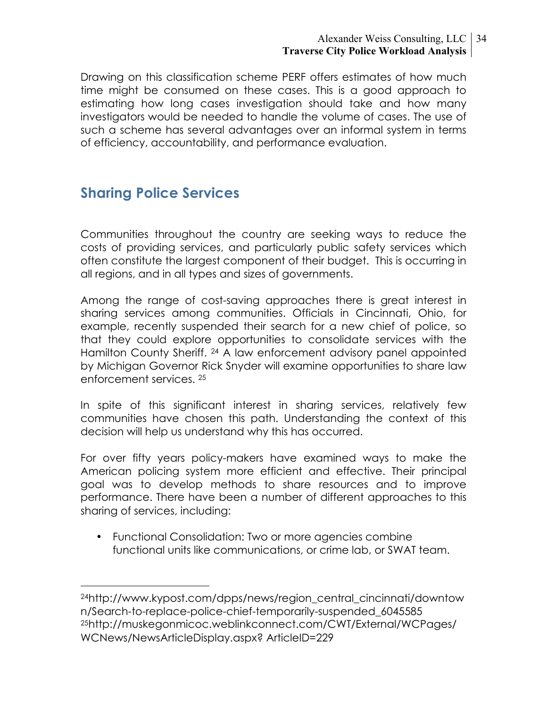#### Alexander Weiss Consulting, LLC 34 **Traverse City Police Workload Analysis**

Drawing on this classification scheme PERF offers estimates of how much time might be consumed on these cases. This is a good approach to estimating how long cases investigation should take and how many investigators would be needed to handle the volume of cases. The use of such a scheme has several advantages over an informal system in terms of efficiency, accountability, and performance evaluation.

# **Sharing Police Services**

Communities throughout the country are seeking ways to reduce the costs of providing services, and particularly public safety services which often constitute the largest component of their budget. This is occurring in all regions, and in all types and sizes of governments.

Among the range of cost-saving approaches there is great interest in sharing services among communities. Officials in Cincinnati, Ohio, for example, recently suspended their search for a new chief of police, so that they could explore opportunities to consolidate services with the Hamilton County Sheriff. 24 A law enforcement advisory panel appointed by Michigan Governor Rick Snyder will examine opportunities to share law enforcement services. 25

In spite of this significant interest in sharing services, relatively few communities have chosen this path. Understanding the context of this decision will help us understand why this has occurred.

For over fifty years policy-makers have examined ways to make the American policing system more efficient and effective. Their principal goal was to develop methods to share resources and to improve performance. There have been a number of different approaches to this sharing of services, including:

• Functional Consolidation: Two or more agencies combine functional units like communications, or crime lab, or SWAT team.

 <sup>24</sup>http://www.kypost.com/dpps/news/region\_central\_cincinnati/downtow n/Search-to-replace-police-chief-temporarily-suspended\_6045585 25http://muskegonmicoc.weblinkconnect.com/CWT/External/WCPages/ WCNews/NewsArticleDisplay.aspx? ArticleID=229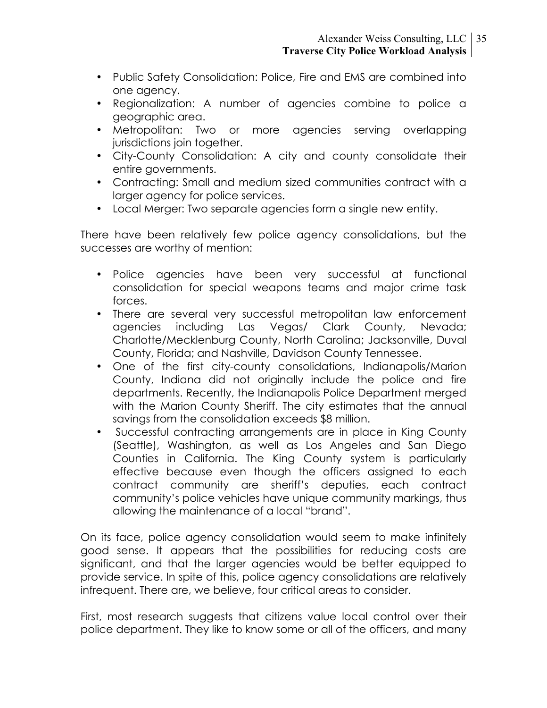- Public Safety Consolidation: Police, Fire and EMS are combined into one agency.
- Regionalization: A number of agencies combine to police a geographic area.
- Metropolitan: Two or more agencies serving overlapping jurisdictions join together.
- City-County Consolidation: A city and county consolidate their entire governments.
- Contracting: Small and medium sized communities contract with a larger agency for police services.
- Local Merger: Two separate agencies form a single new entity.

There have been relatively few police agency consolidations, but the successes are worthy of mention:

- Police agencies have been very successful at functional consolidation for special weapons teams and major crime task forces.
- There are several very successful metropolitan law enforcement agencies including Las Vegas/ Clark County, Nevada; Charlotte/Mecklenburg County, North Carolina; Jacksonville, Duval County, Florida; and Nashville, Davidson County Tennessee.
- One of the first city-county consolidations, Indianapolis/Marion County, Indiana did not originally include the police and fire departments. Recently, the Indianapolis Police Department merged with the Marion County Sheriff. The city estimates that the annual savings from the consolidation exceeds \$8 million.
- Successful contracting arrangements are in place in King County (Seattle), Washington, as well as Los Angeles and San Diego Counties in California. The King County system is particularly effective because even though the officers assigned to each contract community are sheriff's deputies, each contract community's police vehicles have unique community markings, thus allowing the maintenance of a local "brand".

On its face, police agency consolidation would seem to make infinitely good sense. It appears that the possibilities for reducing costs are significant, and that the larger agencies would be better equipped to provide service. In spite of this, police agency consolidations are relatively infrequent. There are, we believe, four critical areas to consider.

First, most research suggests that citizens value local control over their police department. They like to know some or all of the officers, and many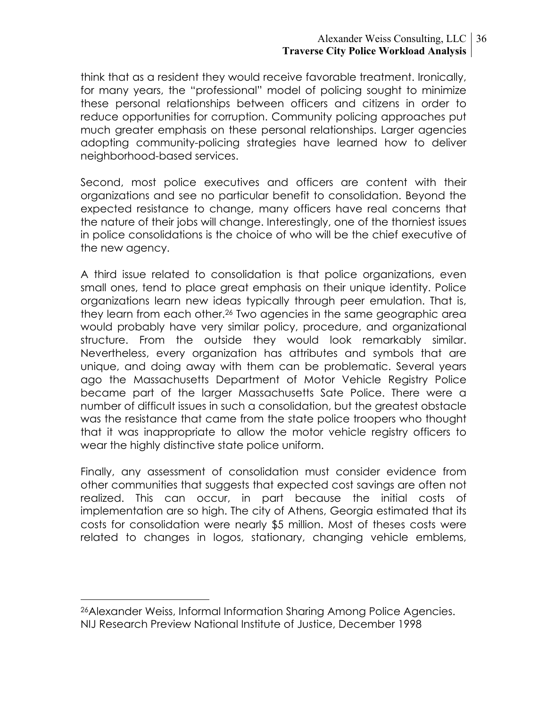#### Alexander Weiss Consulting, LLC 36 **Traverse City Police Workload Analysis**

think that as a resident they would receive favorable treatment. Ironically, for many years, the "professional" model of policing sought to minimize these personal relationships between officers and citizens in order to reduce opportunities for corruption. Community policing approaches put much greater emphasis on these personal relationships. Larger agencies adopting community-policing strategies have learned how to deliver neighborhood-based services.

Second, most police executives and officers are content with their organizations and see no particular benefit to consolidation. Beyond the expected resistance to change, many officers have real concerns that the nature of their jobs will change. Interestingly, one of the thorniest issues in police consolidations is the choice of who will be the chief executive of the new agency.

A third issue related to consolidation is that police organizations, even small ones, tend to place great emphasis on their unique identity. Police organizations learn new ideas typically through peer emulation. That is, they learn from each other.26 Two agencies in the same geographic area would probably have very similar policy, procedure, and organizational structure. From the outside they would look remarkably similar. Nevertheless, every organization has attributes and symbols that are unique, and doing away with them can be problematic. Several years ago the Massachusetts Department of Motor Vehicle Registry Police became part of the larger Massachusetts Sate Police. There were a number of difficult issues in such a consolidation, but the greatest obstacle was the resistance that came from the state police troopers who thought that it was inappropriate to allow the motor vehicle registry officers to wear the highly distinctive state police uniform.

Finally, any assessment of consolidation must consider evidence from other communities that suggests that expected cost savings are often not realized. This can occur, in part because the initial costs of implementation are so high. The city of Athens, Georgia estimated that its costs for consolidation were nearly \$5 million. Most of theses costs were related to changes in logos, stationary, changing vehicle emblems,

 <sup>26</sup>Alexander Weiss, Informal Information Sharing Among Police Agencies. NIJ Research Preview National Institute of Justice, December 1998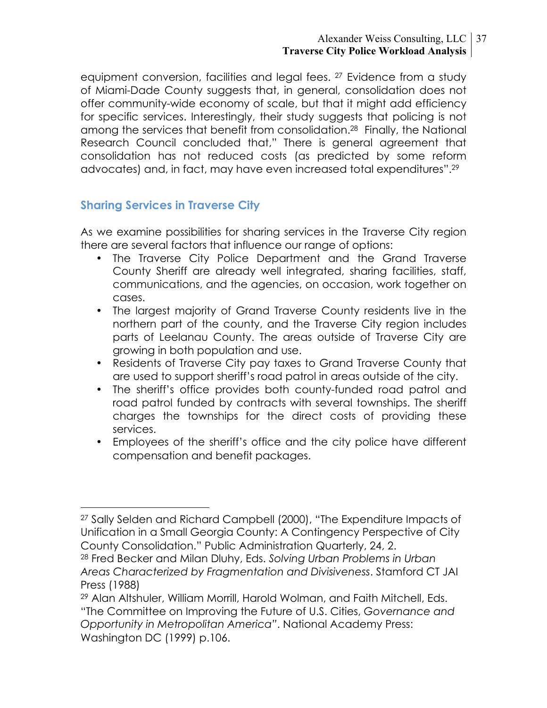#### Alexander Weiss Consulting, LLC 37 **Traverse City Police Workload Analysis**

equipment conversion, facilities and legal fees. 27 Evidence from a study of Miami-Dade County suggests that, in general, consolidation does not offer community-wide economy of scale, but that it might add efficiency for specific services. Interestingly, their study suggests that policing is not among the services that benefit from consolidation.28 Finally, the National Research Council concluded that," There is general agreement that consolidation has not reduced costs (as predicted by some reform advocates) and, in fact, may have even increased total expenditures".29

## **Sharing Services in Traverse City**

As we examine possibilities for sharing services in the Traverse City region there are several factors that influence our range of options:

- The Traverse City Police Department and the Grand Traverse County Sheriff are already well integrated, sharing facilities, staff, communications, and the agencies, on occasion, work together on cases.
- The largest majority of Grand Traverse County residents live in the northern part of the county, and the Traverse City region includes parts of Leelanau County. The areas outside of Traverse City are growing in both population and use.
- Residents of Traverse City pay taxes to Grand Traverse County that are used to support sheriff's road patrol in areas outside of the city.
- The sheriff's office provides both county-funded road patrol and road patrol funded by contracts with several townships. The sheriff charges the townships for the direct costs of providing these services.
- Employees of the sheriff's office and the city police have different compensation and benefit packages.

 <sup>27</sup> Sally Selden and Richard Campbell (2000), "The Expenditure Impacts of Unification in a Small Georgia County: A Contingency Perspective of City County Consolidation." Public Administration Quarterly, 24, 2.

<sup>28</sup> Fred Becker and Milan Dluhy, Eds. *Solving Urban Problems in Urban Areas Characterized by Fragmentation and Divisiveness*. Stamford CT JAI Press (1988)

<sup>29</sup> Alan Altshuler, William Morrill, Harold Wolman, and Faith Mitchell, Eds. "The Committee on Improving the Future of U.S. Cities, *Governance and Opportunity in Metropolitan America"*. National Academy Press: Washington DC (1999) p.106.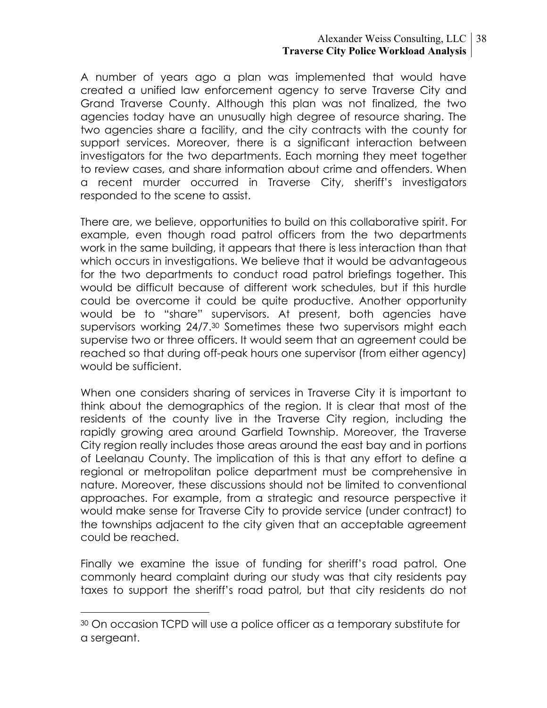#### Alexander Weiss Consulting, LLC 38 **Traverse City Police Workload Analysis**

A number of years ago a plan was implemented that would have created a unified law enforcement agency to serve Traverse City and Grand Traverse County. Although this plan was not finalized, the two agencies today have an unusually high degree of resource sharing. The two agencies share a facility, and the city contracts with the county for support services. Moreover, there is a significant interaction between investigators for the two departments. Each morning they meet together to review cases, and share information about crime and offenders. When a recent murder occurred in Traverse City, sheriff's investigators responded to the scene to assist.

There are, we believe, opportunities to build on this collaborative spirit. For example, even though road patrol officers from the two departments work in the same building, it appears that there is less interaction than that which occurs in investigations. We believe that it would be advantageous for the two departments to conduct road patrol briefings together. This would be difficult because of different work schedules, but if this hurdle could be overcome it could be quite productive. Another opportunity would be to "share" supervisors. At present, both agencies have supervisors working 24/7.30 Sometimes these two supervisors might each supervise two or three officers. It would seem that an agreement could be reached so that during off-peak hours one supervisor (from either agency) would be sufficient.

When one considers sharing of services in Traverse City it is important to think about the demographics of the region. It is clear that most of the residents of the county live in the Traverse City region, including the rapidly growing area around Garfield Township. Moreover, the Traverse City region really includes those areas around the east bay and in portions of Leelanau County. The implication of this is that any effort to define a regional or metropolitan police department must be comprehensive in nature. Moreover, these discussions should not be limited to conventional approaches. For example, from a strategic and resource perspective it would make sense for Traverse City to provide service (under contract) to the townships adjacent to the city given that an acceptable agreement could be reached.

Finally we examine the issue of funding for sheriff's road patrol. One commonly heard complaint during our study was that city residents pay taxes to support the sheriff's road patrol, but that city residents do not

 <sup>30</sup> On occasion TCPD will use a police officer as a temporary substitute for a sergeant.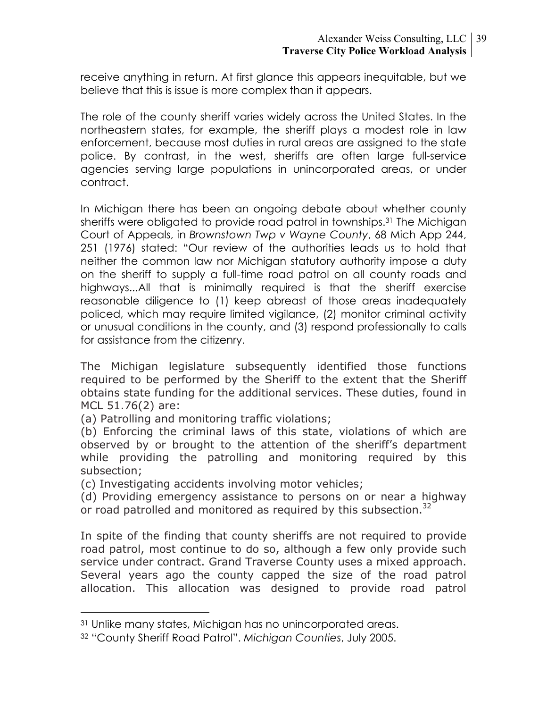receive anything in return. At first glance this appears inequitable, but we believe that this is issue is more complex than it appears.

The role of the county sheriff varies widely across the United States. In the northeastern states, for example, the sheriff plays a modest role in law enforcement, because most duties in rural areas are assigned to the state police. By contrast, in the west, sheriffs are often large full-service agencies serving large populations in unincorporated areas, or under contract.

In Michigan there has been an ongoing debate about whether county sheriffs were obligated to provide road patrol in townships.31 The Michigan Court of Appeals, in *Brownstown Twp v Wayne County*, 68 Mich App 244, 251 (1976) stated: "Our review of the authorities leads us to hold that neither the common law nor Michigan statutory authority impose a duty on the sheriff to supply a full-time road patrol on all county roads and highways...All that is minimally required is that the sheriff exercise reasonable diligence to (1) keep abreast of those areas inadequately policed, which may require limited vigilance, (2) monitor criminal activity or unusual conditions in the county, and (3) respond professionally to calls for assistance from the citizenry.

The Michigan legislature subsequently identified those functions required to be performed by the Sheriff to the extent that the Sheriff obtains state funding for the additional services. These duties, found in MCL 51.76(2) are:

(a) Patrolling and monitoring traffic violations;

(b) Enforcing the criminal laws of this state, violations of which are observed by or brought to the attention of the sheriff's department while providing the patrolling and monitoring required by this subsection;

(c) Investigating accidents involving motor vehicles;

(d) Providing emergency assistance to persons on or near a highway or road patrolled and monitored as required by this subsection.<sup>32</sup>

In spite of the finding that county sheriffs are not required to provide road patrol, most continue to do so, although a few only provide such service under contract. Grand Traverse County uses a mixed approach. Several years ago the county capped the size of the road patrol allocation. This allocation was designed to provide road patrol

 <sup>31</sup> Unlike many states, Michigan has no unincorporated areas.

<sup>32 &</sup>quot;County Sheriff Road Patrol". *Michigan Counties*, July 2005.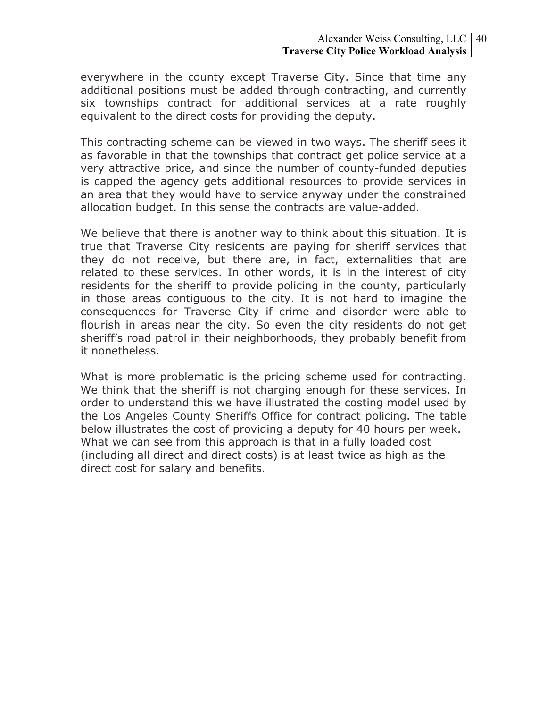everywhere in the county except Traverse City. Since that time any additional positions must be added through contracting, and currently six townships contract for additional services at a rate roughly equivalent to the direct costs for providing the deputy.

This contracting scheme can be viewed in two ways. The sheriff sees it as favorable in that the townships that contract get police service at a very attractive price, and since the number of county-funded deputies is capped the agency gets additional resources to provide services in an area that they would have to service anyway under the constrained allocation budget. In this sense the contracts are value-added.

We believe that there is another way to think about this situation. It is true that Traverse City residents are paying for sheriff services that they do not receive, but there are, in fact, externalities that are related to these services. In other words, it is in the interest of city residents for the sheriff to provide policing in the county, particularly in those areas contiguous to the city. It is not hard to imagine the consequences for Traverse City if crime and disorder were able to flourish in areas near the city. So even the city residents do not get sheriff's road patrol in their neighborhoods, they probably benefit from it nonetheless.

What is more problematic is the pricing scheme used for contracting. We think that the sheriff is not charging enough for these services. In order to understand this we have illustrated the costing model used by the Los Angeles County Sheriffs Office for contract policing. The table below illustrates the cost of providing a deputy for 40 hours per week. What we can see from this approach is that in a fully loaded cost (including all direct and direct costs) is at least twice as high as the direct cost for salary and benefits.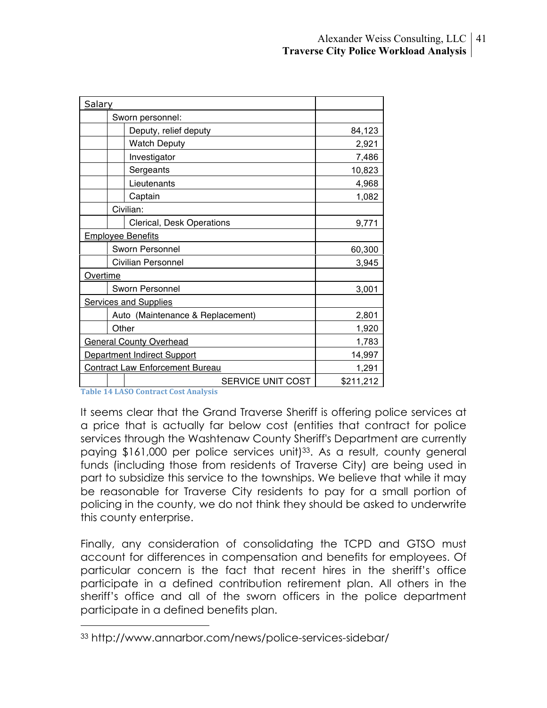| Salary                                 |           |
|----------------------------------------|-----------|
| Sworn personnel:                       |           |
| Deputy, relief deputy                  | 84,123    |
| <b>Watch Deputy</b>                    | 2,921     |
| Investigator                           | 7,486     |
| Sergeants                              | 10,823    |
| Lieutenants                            | 4,968     |
| Captain                                | 1,082     |
| Civilian:                              |           |
| Clerical, Desk Operations              | 9,771     |
| <b>Employee Benefits</b>               |           |
| Sworn Personnel                        | 60,300    |
| Civilian Personnel                     | 3,945     |
| Overtime                               |           |
| Sworn Personnel                        | 3,001     |
| <b>Services and Supplies</b>           |           |
| Auto (Maintenance & Replacement)       | 2,801     |
| Other                                  | 1,920     |
| <b>General County Overhead</b>         | 1,783     |
| Department Indirect Support            | 14,997    |
| <b>Contract Law Enforcement Bureau</b> | 1,291     |
| SERVICE UNIT COST                      | \$211,212 |

**Table
14
LASO
Contract
Cost
Analysis**

It seems clear that the Grand Traverse Sheriff is offering police services at a price that is actually far below cost (entities that contract for police services through the Washtenaw County Sheriff's Department are currently paying \$161,000 per police services unit)<sup>33</sup>. As a result, county general funds (including those from residents of Traverse City) are being used in part to subsidize this service to the townships. We believe that while it may be reasonable for Traverse City residents to pay for a small portion of policing in the county, we do not think they should be asked to underwrite this county enterprise.

Finally, any consideration of consolidating the TCPD and GTSO must account for differences in compensation and benefits for employees. Of particular concern is the fact that recent hires in the sheriff's office participate in a defined contribution retirement plan. All others in the sheriff's office and all of the sworn officers in the police department participate in a defined benefits plan.

 <sup>33</sup> http://www.annarbor.com/news/police-services-sidebar/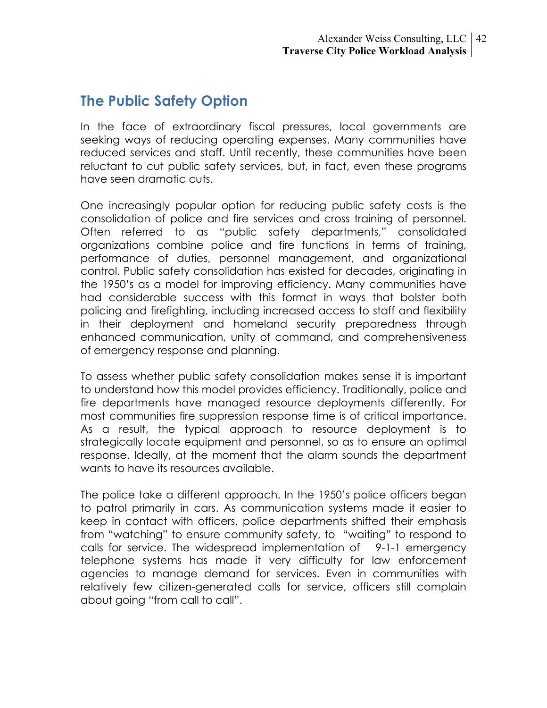# **The Public Safety Option**

In the face of extraordinary fiscal pressures, local governments are seeking ways of reducing operating expenses. Many communities have reduced services and staff. Until recently, these communities have been reluctant to cut public safety services, but, in fact, even these programs have seen dramatic cuts.

One increasingly popular option for reducing public safety costs is the consolidation of police and fire services and cross training of personnel. Often referred to as "public safety departments," consolidated organizations combine police and fire functions in terms of training, performance of duties, personnel management, and organizational control. Public safety consolidation has existed for decades, originating in the 1950's as a model for improving efficiency. Many communities have had considerable success with this format in ways that bolster both policing and firefighting, including increased access to staff and flexibility in their deployment and homeland security preparedness through enhanced communication, unity of command, and comprehensiveness of emergency response and planning.

To assess whether public safety consolidation makes sense it is important to understand how this model provides efficiency. Traditionally, police and fire departments have managed resource deployments differently. For most communities fire suppression response time is of critical importance. As a result, the typical approach to resource deployment is to strategically locate equipment and personnel, so as to ensure an optimal response. Ideally, at the moment that the alarm sounds the department wants to have its resources available.

The police take a different approach. In the 1950's police officers began to patrol primarily in cars. As communication systems made it easier to keep in contact with officers, police departments shifted their emphasis from "watching" to ensure community safety, to "waiting" to respond to calls for service. The widespread implementation of 9-1-1 emergency telephone systems has made it very difficulty for law enforcement agencies to manage demand for services. Even in communities with relatively few citizen-generated calls for service, officers still complain about going "from call to call".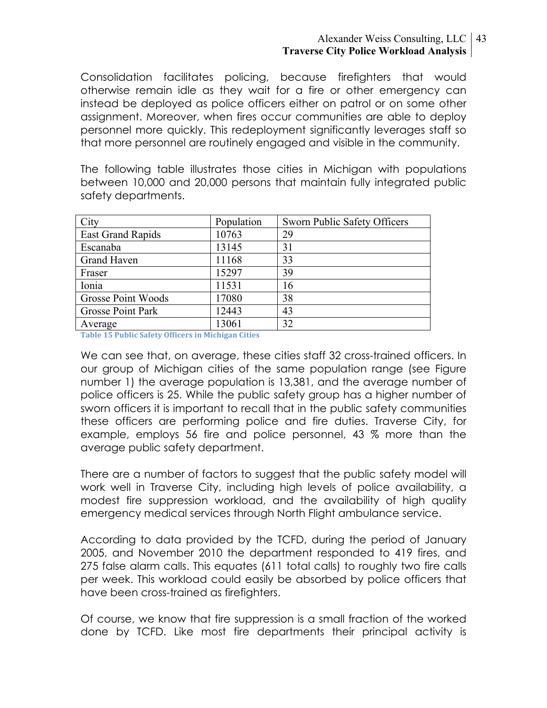#### Alexander Weiss Consulting, LLC 43 **Traverse City Police Workload Analysis**

Consolidation facilitates policing, because firefighters that would otherwise remain idle as they wait for a fire or other emergency can instead be deployed as police officers either on patrol or on some other assignment. Moreover, when fires occur communities are able to deploy personnel more quickly. This redeployment significantly leverages staff so that more personnel are routinely engaged and visible in the community.

The following table illustrates those cities in Michigan with populations between 10,000 and 20,000 persons that maintain fully integrated public safety departments.

| City                     | Population | Sworn Public Safety Officers |
|--------------------------|------------|------------------------------|
| <b>East Grand Rapids</b> | 10763      | 29                           |
| Escanaba                 | 13145      | 31                           |
| <b>Grand Haven</b>       | 11168      | 33                           |
| Fraser                   | 15297      | 39                           |
| Ionia                    | 11531      | 16                           |
| Grosse Point Woods       | 17080      | 38                           |
| <b>Grosse Point Park</b> | 12443      | 43                           |
| Average                  | 13061      | 32                           |

**Table
15
Public
Safety
Officers
in
Michigan
Cities**

We can see that, on average, these cities staff 32 cross-trained officers. In our group of Michigan cities of the same population range (see Figure number 1) the average population is 13,381, and the average number of police officers is 25. While the public safety group has a higher number of sworn officers it is important to recall that in the public safety communities these officers are performing police and fire duties. Traverse City, for example, employs 56 fire and police personnel, 43 % more than the average public safety department.

There are a number of factors to suggest that the public safety model will work well in Traverse City, including high levels of police availability, a modest fire suppression workload, and the availability of high quality emergency medical services through North Flight ambulance service.

According to data provided by the TCFD, during the period of January 2005, and November 2010 the department responded to 419 fires, and 275 false alarm calls. This equates (611 total calls) to roughly two fire calls per week. This workload could easily be absorbed by police officers that have been cross-trained as firefighters.

Of course, we know that fire suppression is a small fraction of the worked done by TCFD. Like most fire departments their principal activity is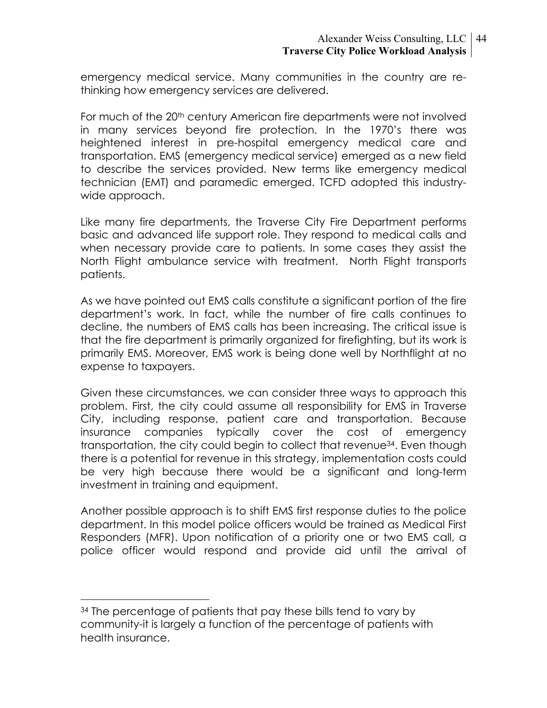emergency medical service. Many communities in the country are rethinking how emergency services are delivered.

For much of the 20<sup>th</sup> century American fire departments were not involved in many services beyond fire protection. In the 1970's there was heightened interest in pre-hospital emergency medical care and transportation. EMS (emergency medical service) emerged as a new field to describe the services provided. New terms like emergency medical technician (EMT) and paramedic emerged. TCFD adopted this industrywide approach.

Like many fire departments, the Traverse City Fire Department performs basic and advanced life support role. They respond to medical calls and when necessary provide care to patients. In some cases they assist the North Flight ambulance service with treatment. North Flight transports patients.

As we have pointed out EMS calls constitute a significant portion of the fire department's work. In fact, while the number of fire calls continues to decline, the numbers of EMS calls has been increasing. The critical issue is that the fire department is primarily organized for firefighting, but its work is primarily EMS. Moreover, EMS work is being done well by Northflight at no expense to taxpayers.

Given these circumstances, we can consider three ways to approach this problem. First, the city could assume all responsibility for EMS in Traverse City, including response, patient care and transportation. Because insurance companies typically cover the cost of emergency transportation, the city could begin to collect that revenue34. Even though there is a potential for revenue in this strategy, implementation costs could be very high because there would be a significant and long-term investment in training and equipment.

Another possible approach is to shift EMS first response duties to the police department. In this model police officers would be trained as Medical First Responders (MFR). Upon notification of a priority one or two EMS call, a police officer would respond and provide aid until the arrival of

<sup>&</sup>lt;sup>34</sup> The percentage of patients that pay these bills tend to vary by community-it is largely a function of the percentage of patients with health insurance.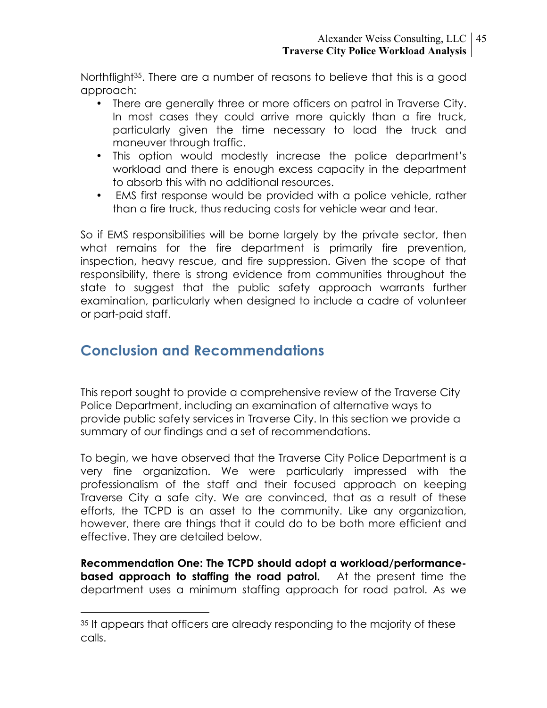Northflight<sup>35</sup>. There are a number of reasons to believe that this is a good approach:

- There are generally three or more officers on patrol in Traverse City. In most cases they could arrive more quickly than a fire truck, particularly given the time necessary to load the truck and maneuver through traffic.
- This option would modestly increase the police department's workload and there is enough excess capacity in the department to absorb this with no additional resources.
- EMS first response would be provided with a police vehicle, rather than a fire truck, thus reducing costs for vehicle wear and tear.

So if EMS responsibilities will be borne largely by the private sector, then what remains for the fire department is primarily fire prevention, inspection, heavy rescue, and fire suppression. Given the scope of that responsibility, there is strong evidence from communities throughout the state to suggest that the public safety approach warrants further examination, particularly when designed to include a cadre of volunteer or part-paid staff.

# **Conclusion and Recommendations**

This report sought to provide a comprehensive review of the Traverse City Police Department, including an examination of alternative ways to provide public safety services in Traverse City. In this section we provide a summary of our findings and a set of recommendations.

To begin, we have observed that the Traverse City Police Department is a very fine organization. We were particularly impressed with the professionalism of the staff and their focused approach on keeping Traverse City a safe city. We are convinced, that as a result of these efforts, the TCPD is an asset to the community. Like any organization, however, there are things that it could do to be both more efficient and effective. They are detailed below.

**Recommendation One: The TCPD should adopt a workload/performancebased approach to staffing the road patrol.** At the present time the department uses a minimum staffing approach for road patrol. As we

<sup>&</sup>lt;sup>35</sup> It appears that officers are already responding to the majority of these calls.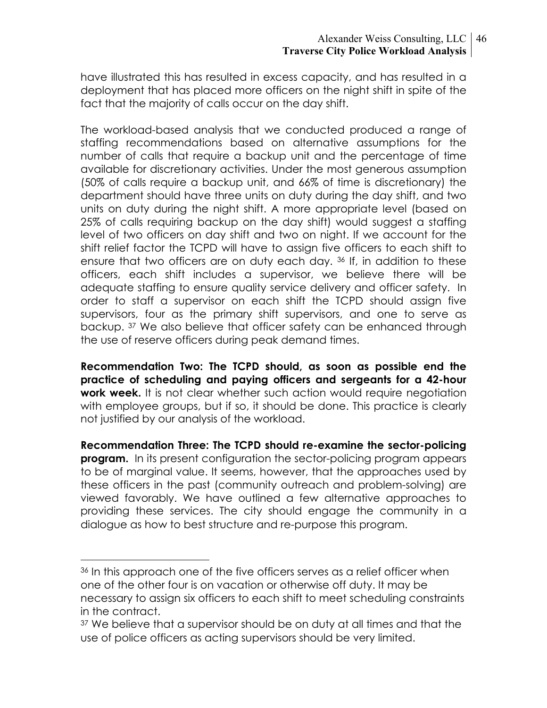have illustrated this has resulted in excess capacity, and has resulted in a deployment that has placed more officers on the night shift in spite of the fact that the majority of calls occur on the day shift.

The workload-based analysis that we conducted produced a range of staffing recommendations based on alternative assumptions for the number of calls that require a backup unit and the percentage of time available for discretionary activities. Under the most generous assumption (50% of calls require a backup unit, and 66% of time is discretionary) the department should have three units on duty during the day shift, and two units on duty during the night shift. A more appropriate level (based on 25% of calls requiring backup on the day shift) would suggest a staffing level of two officers on day shift and two on night. If we account for the shift relief factor the TCPD will have to assign five officers to each shift to ensure that two officers are on duty each day. 36 If, in addition to these officers, each shift includes a supervisor, we believe there will be adequate staffing to ensure quality service delivery and officer safety. In order to staff a supervisor on each shift the TCPD should assign five supervisors, four as the primary shift supervisors, and one to serve as backup. 37 We also believe that officer safety can be enhanced through the use of reserve officers during peak demand times.

**Recommendation Two: The TCPD should, as soon as possible end the practice of scheduling and paying officers and sergeants for a 42-hour work week.** It is not clear whether such action would require negotiation with employee groups, but if so, it should be done. This practice is clearly not justified by our analysis of the workload.

**Recommendation Three: The TCPD should re-examine the sector-policing program.** In its present configuration the sector-policing program appears to be of marginal value. It seems, however, that the approaches used by these officers in the past (community outreach and problem-solving) are viewed favorably. We have outlined a few alternative approaches to providing these services. The city should engage the community in a dialogue as how to best structure and re-purpose this program.

<sup>&</sup>lt;sup>36</sup> In this approach one of the five officers serves as a relief officer when one of the other four is on vacation or otherwise off duty. It may be necessary to assign six officers to each shift to meet scheduling constraints in the contract.

<sup>&</sup>lt;sup>37</sup> We believe that a supervisor should be on duty at all times and that the use of police officers as acting supervisors should be very limited.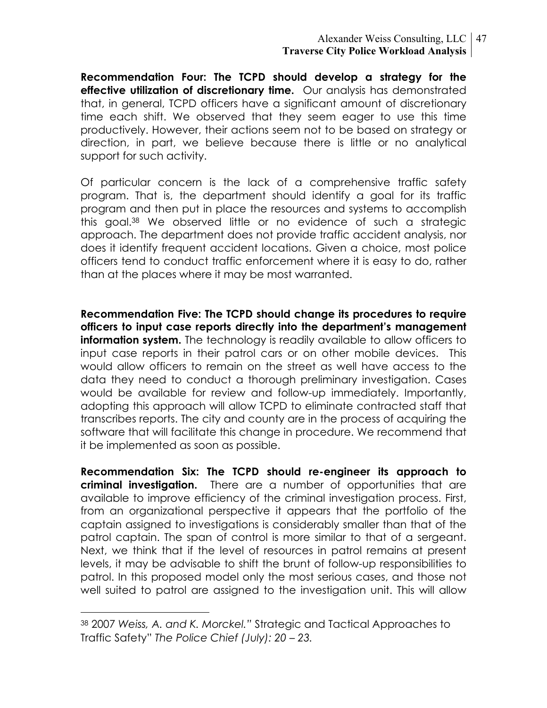#### Alexander Weiss Consulting, LLC 47 **Traverse City Police Workload Analysis**

**Recommendation Four: The TCPD should develop a strategy for the effective utilization of discretionary time.** Our analysis has demonstrated that, in general, TCPD officers have a significant amount of discretionary time each shift. We observed that they seem eager to use this time productively. However, their actions seem not to be based on strategy or direction, in part, we believe because there is little or no analytical support for such activity.

Of particular concern is the lack of a comprehensive traffic safety program. That is, the department should identify a goal for its traffic program and then put in place the resources and systems to accomplish this goal.38 We observed little or no evidence of such a strategic approach. The department does not provide traffic accident analysis, nor does it identify frequent accident locations. Given a choice, most police officers tend to conduct traffic enforcement where it is easy to do, rather than at the places where it may be most warranted.

**Recommendation Five: The TCPD should change its procedures to require officers to input case reports directly into the department's management information system.** The technology is readily available to allow officers to input case reports in their patrol cars or on other mobile devices. This would allow officers to remain on the street as well have access to the data they need to conduct a thorough preliminary investigation. Cases would be available for review and follow-up immediately. Importantly, adopting this approach will allow TCPD to eliminate contracted staff that transcribes reports. The city and county are in the process of acquiring the software that will facilitate this change in procedure. We recommend that it be implemented as soon as possible.

**Recommendation Six: The TCPD should re-engineer its approach to criminal investigation.** There are a number of opportunities that are available to improve efficiency of the criminal investigation process. First, from an organizational perspective it appears that the portfolio of the captain assigned to investigations is considerably smaller than that of the patrol captain. The span of control is more similar to that of a sergeant. Next, we think that if the level of resources in patrol remains at present levels, it may be advisable to shift the brunt of follow-up responsibilities to patrol. In this proposed model only the most serious cases, and those not well suited to patrol are assigned to the investigation unit. This will allow

 <sup>38 2007</sup> *Weiss, A. and K. Morckel."* Strategic and Tactical Approaches to Traffic Safety" *The Police Chief (July): 20 – 23.*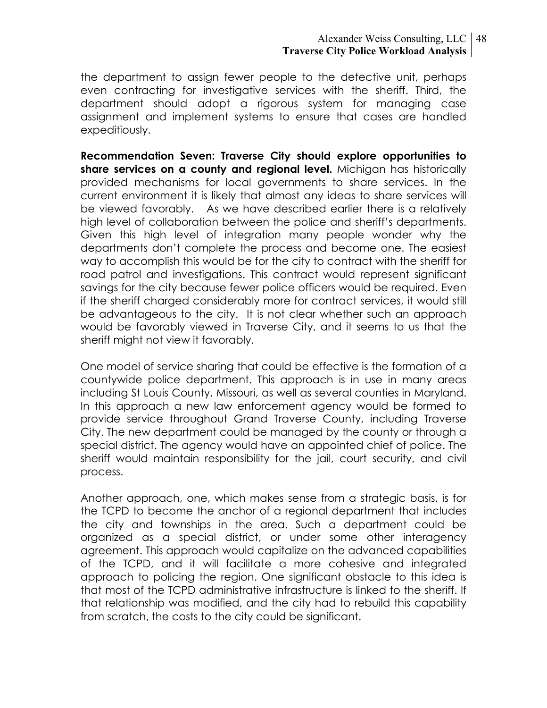#### Alexander Weiss Consulting, LLC 48 **Traverse City Police Workload Analysis**

the department to assign fewer people to the detective unit, perhaps even contracting for investigative services with the sheriff. Third, the department should adopt a rigorous system for managing case assignment and implement systems to ensure that cases are handled expeditiously.

**Recommendation Seven: Traverse City should explore opportunities to share services on a county and regional level.** Michigan has historically provided mechanisms for local governments to share services. In the current environment it is likely that almost any ideas to share services will be viewed favorably. As we have described earlier there is a relatively high level of collaboration between the police and sheriff's departments. Given this high level of integration many people wonder why the departments don't complete the process and become one. The easiest way to accomplish this would be for the city to contract with the sheriff for road patrol and investigations. This contract would represent significant savings for the city because fewer police officers would be required. Even if the sheriff charged considerably more for contract services, it would still be advantageous to the city. It is not clear whether such an approach would be favorably viewed in Traverse City, and it seems to us that the sheriff might not view it favorably.

One model of service sharing that could be effective is the formation of a countywide police department. This approach is in use in many areas including St Louis County, Missouri, as well as several counties in Maryland. In this approach a new law enforcement agency would be formed to provide service throughout Grand Traverse County, including Traverse City. The new department could be managed by the county or through a special district. The agency would have an appointed chief of police. The sheriff would maintain responsibility for the jail, court security, and civil process.

Another approach, one, which makes sense from a strategic basis, is for the TCPD to become the anchor of a regional department that includes the city and townships in the area. Such a department could be organized as a special district, or under some other interagency agreement. This approach would capitalize on the advanced capabilities of the TCPD, and it will facilitate a more cohesive and integrated approach to policing the region. One significant obstacle to this idea is that most of the TCPD administrative infrastructure is linked to the sheriff. If that relationship was modified, and the city had to rebuild this capability from scratch, the costs to the city could be significant.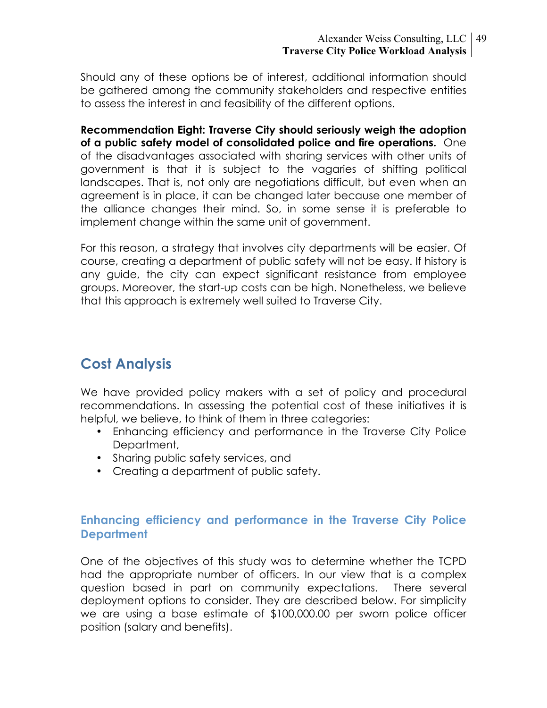#### Alexander Weiss Consulting, LLC 49 **Traverse City Police Workload Analysis**

Should any of these options be of interest, additional information should be gathered among the community stakeholders and respective entities to assess the interest in and feasibility of the different options.

**Recommendation Eight: Traverse City should seriously weigh the adoption of a public safety model of consolidated police and fire operations.** One of the disadvantages associated with sharing services with other units of government is that it is subject to the vagaries of shifting political landscapes. That is, not only are negotiations difficult, but even when an agreement is in place, it can be changed later because one member of the alliance changes their mind. So, in some sense it is preferable to implement change within the same unit of government.

For this reason, a strategy that involves city departments will be easier. Of course, creating a department of public safety will not be easy. If history is any guide, the city can expect significant resistance from employee groups. Moreover, the start-up costs can be high. Nonetheless, we believe that this approach is extremely well suited to Traverse City.

# **Cost Analysis**

We have provided policy makers with a set of policy and procedural recommendations. In assessing the potential cost of these initiatives it is helpful, we believe, to think of them in three categories:

- Enhancing efficiency and performance in the Traverse City Police Department,
- Sharing public safety services, and
- Creating a department of public safety.

## **Enhancing efficiency and performance in the Traverse City Police Department**

One of the objectives of this study was to determine whether the TCPD had the appropriate number of officers. In our view that is a complex question based in part on community expectations. There several deployment options to consider. They are described below. For simplicity we are using a base estimate of \$100,000.00 per sworn police officer position (salary and benefits).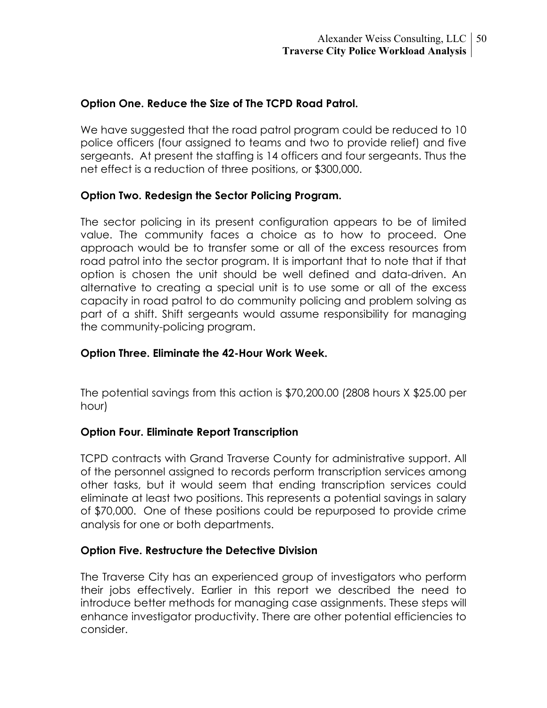#### **Option One. Reduce the Size of The TCPD Road Patrol.**

We have suggested that the road patrol program could be reduced to 10 police officers (four assigned to teams and two to provide relief) and five sergeants. At present the staffing is 14 officers and four sergeants. Thus the net effect is a reduction of three positions, or \$300,000.

#### **Option Two. Redesign the Sector Policing Program.**

The sector policing in its present configuration appears to be of limited value. The community faces a choice as to how to proceed. One approach would be to transfer some or all of the excess resources from road patrol into the sector program. It is important that to note that if that option is chosen the unit should be well defined and data-driven. An alternative to creating a special unit is to use some or all of the excess capacity in road patrol to do community policing and problem solving as part of a shift. Shift sergeants would assume responsibility for managing the community-policing program.

#### **Option Three. Eliminate the 42-Hour Work Week.**

The potential savings from this action is \$70,200.00 (2808 hours X \$25.00 per hour)

#### **Option Four. Eliminate Report Transcription**

TCPD contracts with Grand Traverse County for administrative support. All of the personnel assigned to records perform transcription services among other tasks, but it would seem that ending transcription services could eliminate at least two positions. This represents a potential savings in salary of \$70,000. One of these positions could be repurposed to provide crime analysis for one or both departments.

#### **Option Five. Restructure the Detective Division**

The Traverse City has an experienced group of investigators who perform their jobs effectively. Earlier in this report we described the need to introduce better methods for managing case assignments. These steps will enhance investigator productivity. There are other potential efficiencies to consider.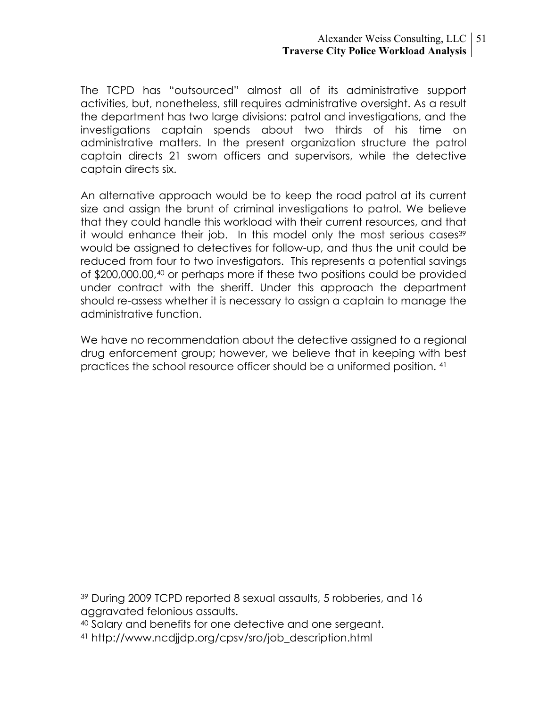The TCPD has "outsourced" almost all of its administrative support activities, but, nonetheless, still requires administrative oversight. As a result the department has two large divisions: patrol and investigations, and the investigations captain spends about two thirds of his time on administrative matters. In the present organization structure the patrol captain directs 21 sworn officers and supervisors, while the detective captain directs six.

An alternative approach would be to keep the road patrol at its current size and assign the brunt of criminal investigations to patrol. We believe that they could handle this workload with their current resources, and that it would enhance their job. In this model only the most serious cases<sup>39</sup> would be assigned to detectives for follow-up, and thus the unit could be reduced from four to two investigators. This represents a potential savings of \$200,000.00,40 or perhaps more if these two positions could be provided under contract with the sheriff. Under this approach the department should re-assess whether it is necessary to assign a captain to manage the administrative function.

We have no recommendation about the detective assigned to a regional drug enforcement group; however, we believe that in keeping with best practices the school resource officer should be a uniformed position. 41

 <sup>39</sup> During 2009 TCPD reported 8 sexual assaults, 5 robberies, and 16 aggravated felonious assaults.

<sup>40</sup> Salary and benefits for one detective and one sergeant.

<sup>41</sup> http://www.ncdjjdp.org/cpsv/sro/job\_description.html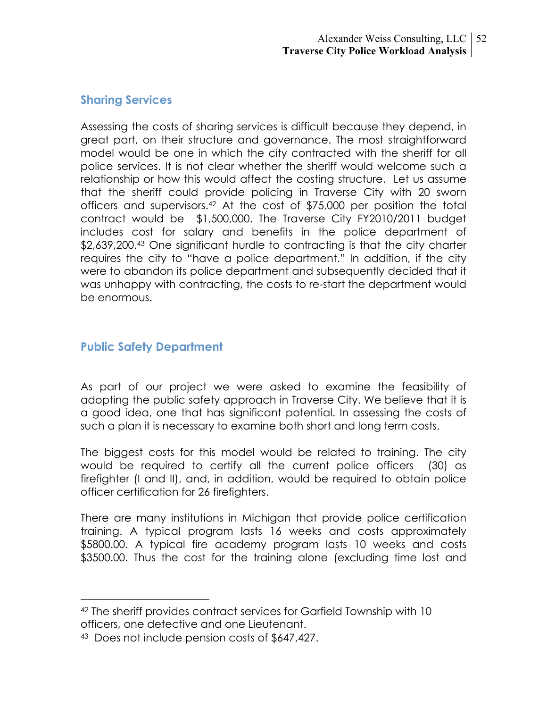## **Sharing Services**

Assessing the costs of sharing services is difficult because they depend, in great part, on their structure and governance. The most straightforward model would be one in which the city contracted with the sheriff for all police services. It is not clear whether the sheriff would welcome such a relationship or how this would affect the costing structure. Let us assume that the sheriff could provide policing in Traverse City with 20 sworn officers and supervisors.42 At the cost of \$75,000 per position the total contract would be \$1,500,000. The Traverse City FY2010/2011 budget includes cost for salary and benefits in the police department of \$2,639,200.<sup>43</sup> One significant hurdle to contracting is that the city charter requires the city to "have a police department." In addition, if the city were to abandon its police department and subsequently decided that it was unhappy with contracting, the costs to re-start the department would be enormous.

## **Public Safety Department**

As part of our project we were asked to examine the feasibility of adopting the public safety approach in Traverse City. We believe that it is a good idea, one that has significant potential. In assessing the costs of such a plan it is necessary to examine both short and long term costs.

The biggest costs for this model would be related to training. The city would be required to certify all the current police officers (30) as firefighter (I and II), and, in addition, would be required to obtain police officer certification for 26 firefighters.

There are many institutions in Michigan that provide police certification training. A typical program lasts 16 weeks and costs approximately \$5800.00. A typical fire academy program lasts 10 weeks and costs \$3500.00. Thus the cost for the training alone (excluding time lost and

 <sup>42</sup> The sheriff provides contract services for Garfield Township with 10 officers, one detective and one Lieutenant.

<sup>43</sup> Does not include pension costs of \$647,427.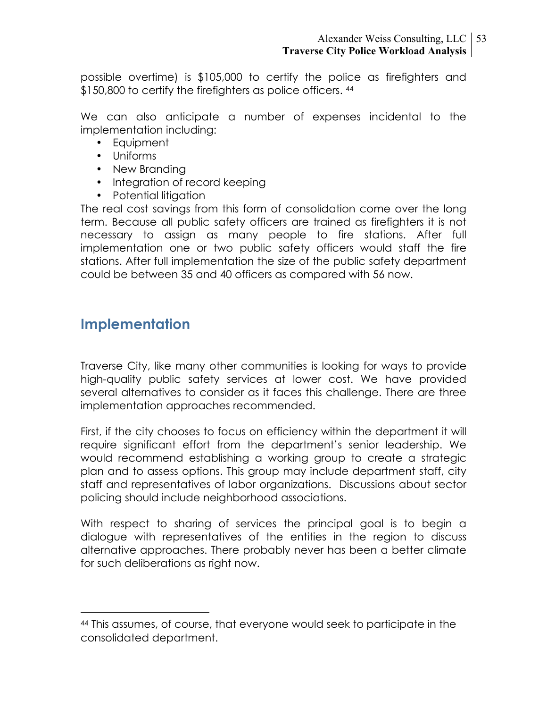possible overtime) is \$105,000 to certify the police as firefighters and \$150,800 to certify the firefighters as police officers. 44

We can also anticipate a number of expenses incidental to the implementation including:

- Equipment
- Uniforms
- New Branding
- Integration of record keeping
- Potential litigation

The real cost savings from this form of consolidation come over the long term. Because all public safety officers are trained as firefighters it is not necessary to assign as many people to fire stations. After full implementation one or two public safety officers would staff the fire stations. After full implementation the size of the public safety department could be between 35 and 40 officers as compared with 56 now.

# **Implementation**

Traverse City, like many other communities is looking for ways to provide high-quality public safety services at lower cost. We have provided several alternatives to consider as it faces this challenge. There are three implementation approaches recommended.

First, if the city chooses to focus on efficiency within the department it will require significant effort from the department's senior leadership. We would recommend establishing a working group to create a strategic plan and to assess options. This group may include department staff, city staff and representatives of labor organizations. Discussions about sector policing should include neighborhood associations.

With respect to sharing of services the principal goal is to begin a dialogue with representatives of the entities in the region to discuss alternative approaches. There probably never has been a better climate for such deliberations as right now.

 <sup>44</sup> This assumes, of course, that everyone would seek to participate in the consolidated department.